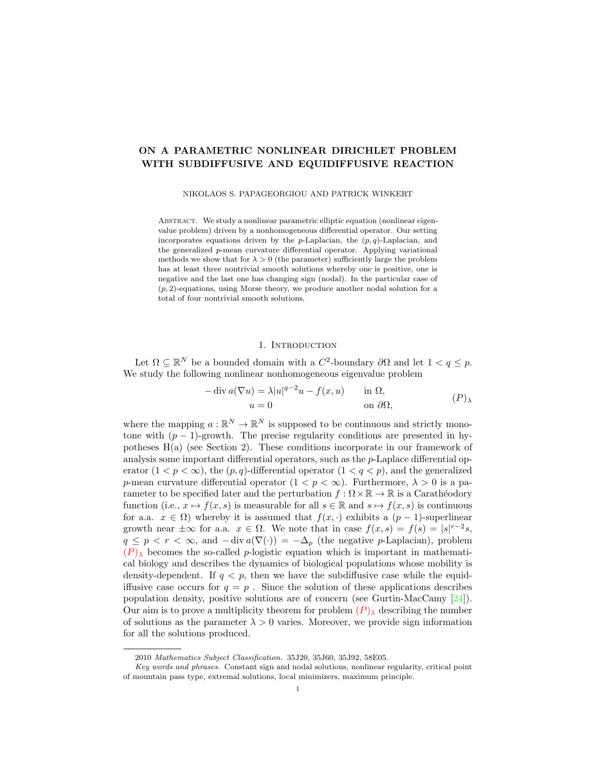# ON A PARAMETRIC NONLINEAR DIRICHLET PROBLEM WITH SUBDIFFUSIVE AND EQUIDIFFUSIVE REACTION

NIKOLAOS S. PAPAGEORGIOU AND PATRICK WINKERT

ABSTRACT. We study a nonlinear parametric elliptic equation (nonlinear eigenvalue problem) driven by a nonhomogeneous differential operator. Our setting incorporates equations driven by the p-Laplacian, the  $(p, q)$ -Laplacian, and the generalized p-mean curvature differential operator. Applying variational methods we show that for  $\lambda > 0$  (the parameter) sufficiently large the problem has at least three nontrivial smooth solutions whereby one is positive, one is negative and the last one has changing sign (nodal). In the particular case of  $(p, 2)$ -equations, using Morse theory, we produce another nodal solution for a total of four nontrivial smooth solutions.

## <span id="page-0-0"></span>1. INTRODUCTION

Let  $\Omega \subseteq \mathbb{R}^N$  be a bounded domain with a  $C^2$ -boundary  $\partial\Omega$  and let  $1 < q \leq p$ . We study the following nonlinear nonhomogeneous eigenvalue problem

$$
-\operatorname{div} a(\nabla u) = \lambda |u|^{q-2}u - f(x, u) \quad \text{in } \Omega,
$$
  
 
$$
u = 0 \quad \text{on } \partial\Omega,
$$
 (P)

where the mapping  $a : \mathbb{R}^N \to \mathbb{R}^N$  is supposed to be continuous and strictly monotone with  $(p-1)$ -growth. The precise regularity conditions are presented in hypotheses H(a) (see Section 2). These conditions incorporate in our framework of analysis some important differential operators, such as the p-Laplace differential operator  $(1 < p < \infty)$ , the  $(p, q)$ -differential operator  $(1 < q < p)$ , and the generalized p-mean curvature differential operator  $(1 < p < \infty)$ . Furthermore,  $\lambda > 0$  is a parameter to be specified later and the perturbation  $f : \Omega \times \mathbb{R} \to \mathbb{R}$  is a Carathéodory function (i.e.,  $x \mapsto f(x, s)$  is measurable for all  $s \in \mathbb{R}$  and  $s \mapsto f(x, s)$  is continuous for a.a.  $x \in \Omega$ ) whereby it is assumed that  $f(x, \cdot)$  exhibits a  $(p-1)$ -superlinear growth near  $\pm \infty$  for a.a.  $x \in \Omega$ . We note that in case  $f(x, s) = f(s) = |s|^{r-2}s$ ,  $q \leq p < r < \infty$ , and  $-\text{div } a(\nabla(\cdot)) = -\Delta_p$  (the negative p-Laplacian), problem  $(P)$  $(P)$  $(P)$ <sub>λ</sub> becomes the so-called p-logistic equation which is important in mathematical biology and describes the dynamics of biological populations whose mobility is density-dependent. If  $q < p$ , then we have the subdiffusive case while the equidiffusive case occurs for  $q = p$ . Since the solution of these applications describes population density, positive solutions are of concern (see Gurtin-MacCamy [\[24\]](#page-24-0)). Our aim is to prove a multiplicity theorem for problem  $(P)$  $(P)$  $(P)$ <sub>λ</sub> describing the number of solutions as the parameter  $\lambda > 0$  varies. Moreover, we provide sign information for all the solutions produced.

<sup>2010</sup> Mathematics Subject Classification. 35J20, 35J60, 35J92, 58E05.

Key words and phrases. Constant sign and nodal solutions, nonlinear regularity, critical point of mountain pass type, extremal solutions, local minimizers, maximum principle.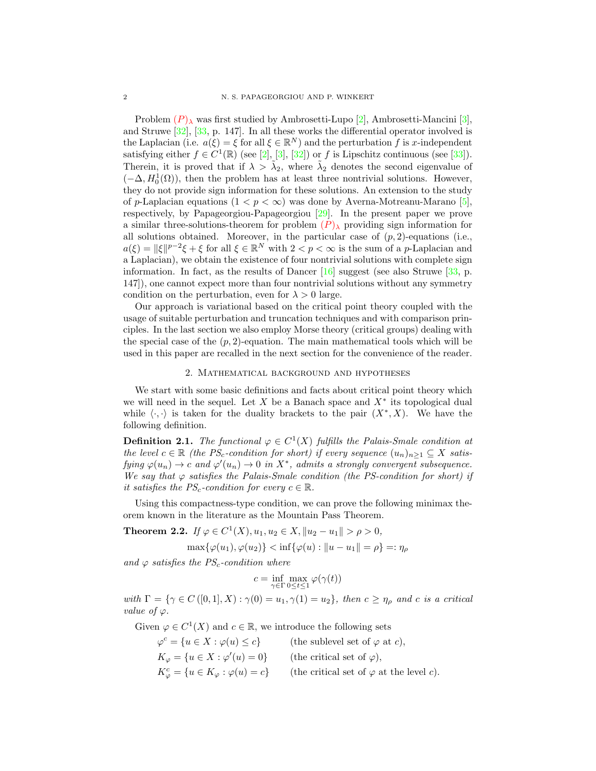[P](#page-0-0)roblem  $(P)$ <sub>λ</sub> was first studied by Ambrosetti-Lupo [\[2\]](#page-23-0), Ambrosetti-Mancini [\[3\]](#page-23-1), and Struwe [\[32\]](#page-24-1), [\[33,](#page-24-2) p. 147]. In all these works the differential operator involved is the Laplacian (i.e.  $a(\xi) = \xi$  for all  $\xi \in \mathbb{R}^N$ ) and the perturbation f is x-independent satisfying either  $f \in C^1(\mathbb{R})$  (see [\[2\]](#page-23-0), [\[3\]](#page-23-1), [\[32\]](#page-24-1)) or f is Lipschitz continuous (see [\[33\]](#page-24-2)). Therein, it is proved that if  $\lambda > \tilde{\lambda}_2$ , where  $\tilde{\lambda}_2$  denotes the second eigenvalue of  $(-\Delta, H_0^1(\Omega))$ , then the problem has at least three nontrivial solutions. However, they do not provide sign information for these solutions. An extension to the study of p-Laplacian equations  $(1 < p < \infty)$  was done by Averna-Motreanu-Marano [\[5\]](#page-23-2), respectively, by Papageorgiou-Papageorgiou [\[29\]](#page-24-3). In the present paper we prove a similar three-solutions-theorem for problem  $(P)_{\lambda}$  $(P)_{\lambda}$  $(P)_{\lambda}$  providing sign information for all solutions obtained. Moreover, in the particular case of  $(p, 2)$ -equations (i.e.,  $a(\xi) = ||\xi||^{p-2}\xi + \xi$  for all  $\xi \in \mathbb{R}^N$  with  $2 < p < \infty$  is the sum of a p-Laplacian and a Laplacian), we obtain the existence of four nontrivial solutions with complete sign information. In fact, as the results of Dancer  $[16]$  suggest (see also Struwe  $[33, p$ . 147]), one cannot expect more than four nontrivial solutions without any symmetry condition on the perturbation, even for  $\lambda > 0$  large.

Our approach is variational based on the critical point theory coupled with the usage of suitable perturbation and truncation techniques and with comparison principles. In the last section we also employ Morse theory (critical groups) dealing with the special case of the  $(p, 2)$ -equation. The main mathematical tools which will be used in this paper are recalled in the next section for the convenience of the reader.

### 2. Mathematical background and hypotheses

<span id="page-1-0"></span>We start with some basic definitions and facts about critical point theory which we will need in the sequel. Let  $X$  be a Banach space and  $X^*$  its topological dual while  $\langle \cdot, \cdot \rangle$  is taken for the duality brackets to the pair  $(X^*, X)$ . We have the following definition.

**Definition 2.1.** The functional  $\varphi \in C^1(X)$  fulfills the Palais-Smale condition at the level  $c \in \mathbb{R}$  (the PS<sub>c</sub>-condition for short) if every sequence  $(u_n)_{n\geq 1} \subseteq X$  satisfying  $\varphi(u_n) \to c$  and  $\varphi'(u_n) \to 0$  in  $X^*$ , admits a strongly convergent subsequence. We say that  $\varphi$  satisfies the Palais-Smale condition (the PS-condition for short) if it satisfies the  $PS_c$ -condition for every  $c \in \mathbb{R}$ .

Using this compactness-type condition, we can prove the following minimax theorem known in the literature as the Mountain Pass Theorem.

<span id="page-1-1"></span>**Theorem 2.2.** If  $\varphi \in C^1(X), u_1, u_2 \in X, ||u_2 - u_1|| > \rho > 0$ ,

 $\max{\{\varphi(u_1), \varphi(u_2)\}} \leq \inf{\{\varphi(u) : ||u - u_1|| = \rho\}} =: \eta_o$ 

and  $\varphi$  satisfies the PS<sub>c</sub>-condition where

$$
c = \inf_{\gamma \in \Gamma} \max_{0 \le t \le 1} \varphi(\gamma(t))
$$

with  $\Gamma = \{ \gamma \in C([0,1], X) : \gamma(0) = u_1, \gamma(1) = u_2 \}$ , then  $c \geq \eta_\rho$  and c is a critical value of  $\varphi$ .

Given  $\varphi \in C^1(X)$  and  $c \in \mathbb{R}$ , we introduce the following sets

| $\varphi^c = \{u \in X : \varphi(u) \leq c\}$            | (the sublevel set of $\varphi$ at c),           |
|----------------------------------------------------------|-------------------------------------------------|
| $K_{\varphi} = \{u \in X : \varphi'(u) = 0\}$            | (the critical set of $\varphi$ ),               |
| $K^c_{\varphi} = \{u \in K_{\varphi} : \varphi(u) = c\}$ | (the critical set of $\varphi$ at the level c). |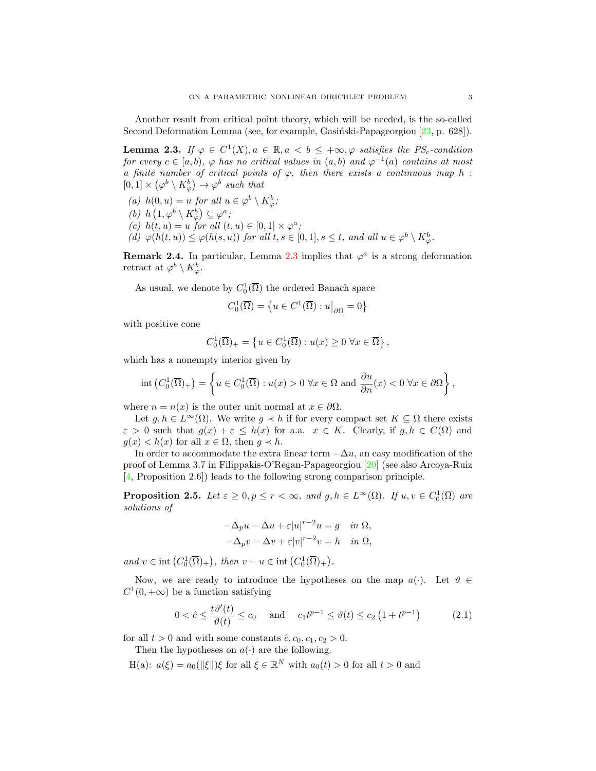Another result from critical point theory, which will be needed, is the so-called Second Deformation Lemma (see, for example, Gasingsiski-Papageorgiou  $[23, p. 628]$ ).

<span id="page-2-0"></span>**Lemma 2.3.** If  $\varphi \in C^1(X)$ ,  $a \in \mathbb{R}$ ,  $a < b \leq +\infty$ ,  $\varphi$  satisfies the PS<sub>c</sub>-condition for every  $c \in [a, b)$ ,  $\varphi$  has no critical values in  $(a, b)$  and  $\varphi^{-1}(a)$  contains at most a finite number of critical points of  $\varphi$ , then there exists a continuous map h:  $[0,1] \times (\varphi^b \setminus K_\varphi^b) \to \varphi^b$  such that

(a)  $h(0, u) = u$  for all  $u \in \varphi^b \setminus K^b_{\varphi};$ (b)  $h\left(1,\varphi^b\setminus K^b_\varphi\right)\subseteq\varphi^a;$ (c)  $h(t, u) = u$  for all  $(t, u) \in [0, 1] \times \varphi^a$ ; (d)  $\varphi(h(t, u)) \leq \varphi(h(s, u))$  for all  $t, s \in [0, 1], s \leq t$ , and all  $u \in \varphi^b \setminus K^b_{\varphi}$ .

**Remark 2.4.** In particular, Lemma [2.3](#page-2-0) implies that  $\varphi^a$  is a strong deformation retract at  $\varphi^b \setminus K_{\varphi}^b$ .

As usual, we denote by  $C_0^1(\overline{\Omega})$  the ordered Banach space

$$
C_0^1(\overline{\Omega}) = \left\{ u \in C^1(\overline{\Omega}) : u \middle|_{\partial \Omega} = 0 \right\}
$$

with positive cone

$$
C_0^1(\overline{\Omega})_+ = \left\{ u \in C_0^1(\overline{\Omega}) : u(x) \ge 0 \,\,\forall x \in \overline{\Omega} \right\},\,
$$

which has a nonempty interior given by

$$
\operatorname{int}\left(C_0^1(\overline{\Omega})_+\right) = \left\{ u \in C_0^1(\overline{\Omega}) : u(x) > 0 \,\,\forall x \in \Omega \text{ and } \frac{\partial u}{\partial n}(x) < 0 \,\,\forall x \in \partial\Omega \right\},\
$$

where  $n = n(x)$  is the outer unit normal at  $x \in \partial \Omega$ .

Let  $g, h \in L^{\infty}(\Omega)$ . We write  $g \prec h$  if for every compact set  $K \subseteq \Omega$  there exists  $\varepsilon > 0$  such that  $g(x) + \varepsilon \leq h(x)$  for a.a.  $x \in K$ . Clearly, if  $g, h \in C(\Omega)$  and  $g(x) < h(x)$  for all  $x \in \Omega$ , then  $g \prec h$ .

In order to accommodate the extra linear term  $-\Delta u$ , an easy modification of the proof of Lemma 3.7 in Filippakis-O'Regan-Papageorgiou [\[20\]](#page-24-6) (see also Arcoya-Ruiz [\[4,](#page-23-3) Proposition 2.6]) leads to the following strong comparison principle.

<span id="page-2-2"></span>**Proposition 2.5.** Let  $\varepsilon \geq 0, p \leq r < \infty$ , and  $g, h \in L^{\infty}(\Omega)$ . If  $u, v \in C_0^1(\overline{\Omega})$  are solutions of

<span id="page-2-1"></span>
$$
-\Delta_p u - \Delta u + \varepsilon |u|^{r-2}u = g \quad \text{in } \Omega,
$$
  

$$
-\Delta_p v - \Delta v + \varepsilon |v|^{r-2}v = h \quad \text{in } \Omega,
$$

and  $v \in \text{int}(C_0^1(\overline{\Omega})_+)$ , then  $v - u \in \text{int}(C_0^1(\overline{\Omega})_+)$ .

Now, we are ready to introduce the hypotheses on the map  $a(\cdot)$ . Let  $\vartheta \in$  $C^1(0, +\infty)$  be a function satisfying

$$
0 < \hat{c} \le \frac{t\vartheta'(t)}{\vartheta(t)} \le c_0 \quad \text{and} \quad c_1 t^{p-1} \le \vartheta(t) \le c_2 \left(1 + t^{p-1}\right) \tag{2.1}
$$

for all  $t > 0$  and with some constants  $\hat{c}$ ,  $c_0$ ,  $c_1$ ,  $c_2 > 0$ .

Then the hypotheses on  $a(\cdot)$  are the following.

H(a):  $a(\xi) = a_0(||\xi||)\xi$  for all  $\xi \in \mathbb{R}^N$  with  $a_0(t) > 0$  for all  $t > 0$  and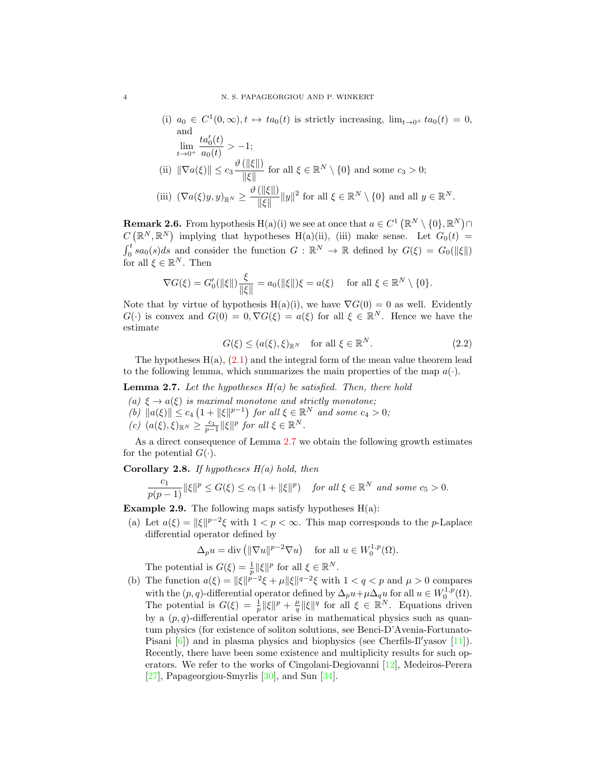(i)  $a_0 \in C^1(0,\infty), t \mapsto ta_0(t)$  is strictly increasing,  $\lim_{t\to 0^+} ta_0(t) = 0$ , and  $\lim_{t\to 0^+}$  $ta'_0(t)$  $\frac{\partial a_0(t)}{\partial a_0(t)} > -1;$ (ii)  $\|\nabla a(\xi)\| \leq c_3 \frac{\vartheta(\|\xi\|)}{\|\xi\|}$  $\frac{(\|\mathcal{S}\|)}{\|\xi\|}$  for all  $\xi \in \mathbb{R}^N \setminus \{0\}$  and some  $c_3 > 0$ ; (iii)  $(\nabla a(\xi)y, y)_{\mathbb{R}^N} \geq \frac{\vartheta(\|\xi\|)}{\|\xi\|}$  $\frac{(\|\mathcal{S}\|)}{\|\xi\|} \|y\|^2$  for all  $\xi \in \mathbb{R}^N \setminus \{0\}$  and all  $y \in \mathbb{R}^N$ .

**Remark 2.6.** From hypothesis H(a)(i) we see at once that  $a \in C^1(\mathbb{R}^N \setminus \{0\}, \mathbb{R}^N) \cap$  $C(\mathbb{R}^N,\mathbb{R}^N)$  implying that hypotheses H(a)(ii), (iii) make sense. Let  $G_0(t)$  =  $\int_0^t sa_0(s)ds$  and consider the function  $G : \mathbb{R}^N \to \mathbb{R}$  defined by  $G(\xi) = G_0(\|\xi\|)$ for all  $\xi \in \mathbb{R}^N$ . Then

$$
\nabla G(\xi) = G_0'(\|\xi\|) \frac{\xi}{\|\xi\|} = a_0(\|\xi\|) \xi = a(\xi) \quad \text{ for all } \xi \in \mathbb{R}^N \setminus \{0\}.
$$

Note that by virtue of hypothesis H(a)(i), we have  $\nabla G(0) = 0$  as well. Evidently  $G(\cdot)$  is convex and  $G(0) = 0$ ,  $\nabla G(\xi) = a(\xi)$  for all  $\xi \in \mathbb{R}^N$ . Hence we have the estimate

$$
G(\xi) \le (a(\xi), \xi)_{\mathbb{R}^N} \quad \text{for all } \xi \in \mathbb{R}^N. \tag{2.2}
$$

The hypotheses  $H(a)$ ,  $(2.1)$  and the integral form of the mean value theorem lead to the following lemma, which summarizes the main properties of the map  $a(\cdot)$ .

<span id="page-3-0"></span>**Lemma 2.7.** Let the hypotheses  $H(a)$  be satisfied. Then, there hold

- (a)  $\xi \rightarrow a(\xi)$  is maximal monotone and strictly monotone:
- (b)  $||a(\xi)|| \leq c_4 \left(1 + ||\xi||^{p-1}\right)$  for all  $\xi \in \mathbb{R}^N$  and some  $c_4 > 0$ ;
- (c)  $(a(\xi), \xi)_{\mathbb{R}^N} \geq \frac{c_1}{p-1} ||\xi||^p$  for all  $\xi \in \mathbb{R}^N$ .

As a direct consequence of Lemma [2.7](#page-3-0) we obtain the following growth estimates for the potential  $G(\cdot)$ .

<span id="page-3-1"></span>Corollary 2.8. If hypotheses  $H(a)$  hold, then

$$
\frac{c_1}{p(p-1)}\|\xi\|^p \le G(\xi) \le c_5\left(1 + \|\xi\|^p\right) \quad \text{for all } \xi \in \mathbb{R}^N \text{ and some } c_5 > 0.
$$

**Example 2.9.** The following maps satisfy hypotheses  $H(a)$ :

(a) Let  $a(\xi) = ||\xi||^{p-2}\xi$  with  $1 < p < \infty$ . This map corresponds to the *p*-Laplace differential operator defined by

$$
\Delta_p u = \text{div}\left(\|\nabla u\|^{p-2} \nabla u\right) \quad \text{for all } u \in W_0^{1,p}(\Omega).
$$

The potential is  $G(\xi) = \frac{1}{p} ||\xi||^p$  for all  $\xi \in \mathbb{R}^N$ .

(b) The function  $a(\xi) = ||\xi||^{p-2}\xi + \mu ||\xi||^{q-2}\xi$  with  $1 < q < p$  and  $\mu > 0$  compares with the  $(p, q)$ -differential operator defined by  $\Delta_p u + \mu \Delta_q u$  for all  $u \in W_0^{1,p}(\Omega)$ . The potential is  $G(\xi) = \frac{1}{p} ||\xi||^p + \frac{\mu}{q} ||\xi||^q$  for all  $\xi \in \mathbb{R}^N$ . Equations driven by a  $(p, q)$ -differential operator arise in mathematical physics such as quantum physics (for existence of soliton solutions, see Benci-D'Avenia-Fortunato-Pisani  $[6]$ ) and in plasma physics and biophysics (see Cherfils-Il'yasov  $[11]$ ). Recently, there have been some existence and multiplicity results for such operators. We refer to the works of Cingolani-Degiovanni [\[12\]](#page-24-8), Medeiros-Perera [\[27\]](#page-24-9), Papageorgiou-Smyrlis [\[30\]](#page-24-10), and Sun [\[34\]](#page-24-11).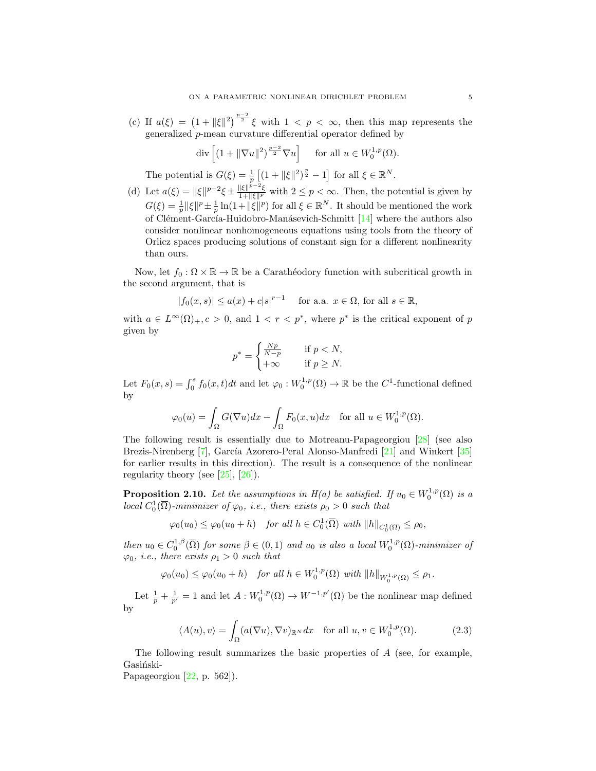(c) If  $a(\xi) = (1 + ||\xi||^2)^{\frac{p-2}{2}} \xi$  with  $1 < p < \infty$ , then this map represents the generalized  $p$ -mean curvature differential operator defined by

$$
\operatorname{div}\left[ (1 + \|\nabla u\|^2)^{\frac{p-2}{2}} \nabla u \right] \quad \text{ for all } u \in W_0^{1,p}(\Omega).
$$

The potential is  $G(\xi) = \frac{1}{p} \left[ (1 + ||\xi||^2)^{\frac{p}{2}} - 1 \right]$  for all  $\xi \in \mathbb{R}^N$ .

(d) Let  $a(\xi) = ||\xi||^{p-2}\xi \pm \frac{||\xi||^{p-2}\xi}{1+||\xi||^p}$  with  $2 \le p < \infty$ . Then, the potential is given by  $G(\xi) = \frac{1}{p} ||\xi||^p \pm \frac{1}{p} \ln(1+||\xi||^p)$  for all  $\xi \in \mathbb{R}^N$ . It should be mentioned the work of Clément-García-Huidobro-Manásevich-Schmitt [\[14\]](#page-24-12) where the authors also consider nonlinear nonhomogeneous equations using tools from the theory of Orlicz spaces producing solutions of constant sign for a different nonlinearity than ours.

Now, let  $f_0 : \Omega \times \mathbb{R} \to \mathbb{R}$  be a Carathéodory function with subcritical growth in the second argument, that is

$$
|f_0(x,s)| \le a(x) + c|s|^{r-1} \quad \text{ for a.a. } x \in \Omega \text{, for all } s \in \mathbb{R},
$$

with  $a \in L^{\infty}(\Omega)_{+}, c > 0$ , and  $1 < r < p^*$ , where  $p^*$  is the critical exponent of p given by

$$
p^* = \begin{cases} \frac{Np}{N-p} & \text{if } p < N, \\ +\infty & \text{if } p \ge N. \end{cases}
$$

Let  $F_0(x, s) = \int_0^s f_0(x, t)dt$  and let  $\varphi_0: W_0^{1, p}(\Omega) \to \mathbb{R}$  be the  $C^1$ -functional defined by

$$
\varphi_0(u)=\int_\Omega G(\nabla u)dx-\int_\Omega F_0(x,u)dx\quad\text{for all }u\in W^{1,p}_0(\Omega).
$$

The following result is essentially due to Motreanu-Papageorgiou [\[28\]](#page-24-13) (see also Brezis-Nirenberg [\[7\]](#page-23-5), García Azorero-Peral Alonso-Manfredi [\[21\]](#page-24-14) and Winkert [\[35\]](#page-24-15) for earlier results in this direction). The result is a consequence of the nonlinear regularity theory (see  $[25]$ ,  $[26]$ ).

<span id="page-4-1"></span>**Proposition 2.10.** Let the assumptions in  $H(a)$  be satisfied. If  $u_0 \in W_0^{1,p}(\Omega)$  is a local  $C_0^1(\overline{\Omega})$ -minimizer of  $\varphi_0$ , i.e., there exists  $\rho_0 > 0$  such that

 $\varphi_0(u_0) \leq \varphi_0(u_0 + h)$  for all  $h \in C_0^1(\overline{\Omega})$  with  $||h||_{C_0^1(\overline{\Omega})} \leq \rho_0$ ,

then  $u_0 \in C_0^{1,\beta}(\overline{\Omega})$  for some  $\beta \in (0,1)$  and  $u_0$  is also a local  $W_0^{1,p}(\Omega)$ -minimizer of  $\varphi_0$ , i.e., there exists  $\rho_1 > 0$  such that

$$
\varphi_0(u_0) \leq \varphi_0(u_0 + h)
$$
 for all  $h \in W_0^{1,p}(\Omega)$  with  $||h||_{W_0^{1,p}(\Omega)} \leq \rho_1$ .

Let  $\frac{1}{p} + \frac{1}{p'} = 1$  and let  $A: W_0^{1,p}(\Omega) \to W^{-1,p'}(\Omega)$  be the nonlinear map defined by

<span id="page-4-0"></span>
$$
\langle A(u), v \rangle = \int_{\Omega} (a(\nabla u), \nabla v)_{\mathbb{R}^N} dx \quad \text{for all } u, v \in W_0^{1, p}(\Omega). \tag{2.3}
$$

The following result summarizes the basic properties of A (see, for example, Gasiński-

Papageorgiou [\[22,](#page-24-18) p. 562]).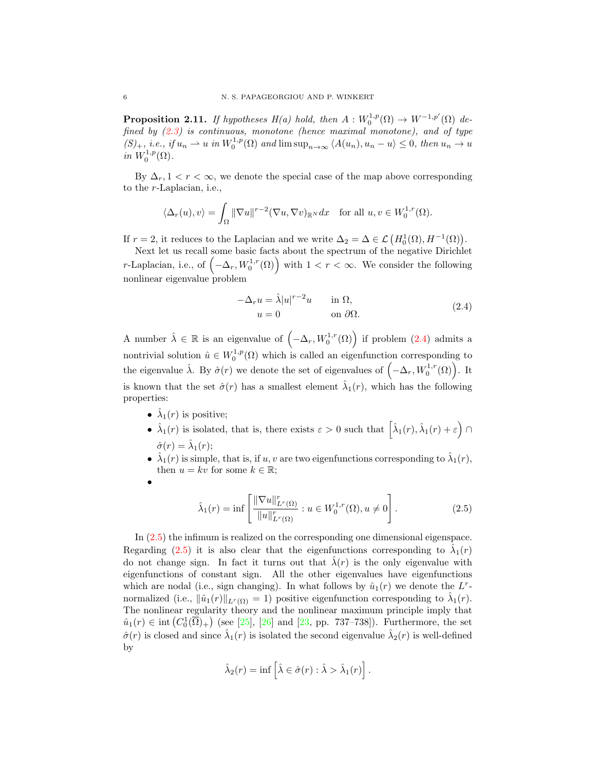<span id="page-5-2"></span>**Proposition 2.11.** If hypotheses  $H(a)$  hold, then  $A: W_0^{1,p}(\Omega) \to W^{-1,p'}(\Omega)$  defined by [\(2.3\)](#page-4-0) is continuous, monotone (hence maximal monotone), and of type  $(S)_+,$  i.e., if  $u_n \rightharpoonup u$  in  $W_0^{1,p}(\Omega)$  and  $\limsup_{n\to\infty} \langle A(u_n), u_n - u \rangle \leq 0$ , then  $u_n \to u$ in  $W_0^{1,p}(\Omega)$ .

By  $\Delta_r$ ,  $1 < r < \infty$ , we denote the special case of the map above corresponding to the r-Laplacian, i.e.,

$$
\langle \Delta_r(u), v \rangle = \int_{\Omega} \|\nabla u\|^{r-2} (\nabla u, \nabla v)_{\mathbb{R}^N} dx \quad \text{for all } u, v \in W_0^{1,r}(\Omega).
$$

If  $r = 2$ , it reduces to the Laplacian and we write  $\Delta_2 = \Delta \in \mathcal{L}(H_0^1(\Omega), H^{-1}(\Omega)).$ 

Next let us recall some basic facts about the spectrum of the negative Dirichlet r-Laplacian, i.e., of  $(-\Delta_r, W_0^{1,r}(\Omega))$  with  $1 < r < \infty$ . We consider the following nonlinear eigenvalue problem

<span id="page-5-0"></span>
$$
-\Delta_r u = \hat{\lambda}|u|^{r-2}u \quad \text{in } \Omega,
$$
  
\n
$$
u = 0 \quad \text{on } \partial\Omega.
$$
 (2.4)

A number  $\hat{\lambda} \in \mathbb{R}$  is an eigenvalue of  $(-\Delta_r, W_0^{1,r}(\Omega))$  if problem  $(2.4)$  admits a nontrivial solution  $\hat{u} \in W_0^{1,p}(\Omega)$  which is called an eigenfunction corresponding to the eigenvalue  $\hat{\lambda}$ . By  $\hat{\sigma}(r)$  we denote the set of eigenvalues of  $(-\Delta_r, W_0^{1,r}(\Omega))$ . It is known that the set  $\hat{\sigma}(r)$  has a smallest element  $\hat{\lambda}_1(r)$ , which has the following properties:

- $\hat{\lambda}_1(r)$  is positive;
- $\hat{\lambda}_1(r)$  is isolated, that is, there exists  $\varepsilon > 0$  such that  $\left[\hat{\lambda}_1(r), \hat{\lambda}_1(r) + \varepsilon\right] \cap$  $\hat{\sigma}(r) = \hat{\lambda}_1(r);$
- $\hat{\lambda}_1(r)$  is simple, that is, if u, v are two eigenfunctions corresponding to  $\hat{\lambda}_1(r)$ , then  $u = kv$  for some  $k \in \mathbb{R}$ ;
- •

<span id="page-5-1"></span>
$$
\hat{\lambda}_1(r) = \inf \left[ \frac{\|\nabla u\|_{L^r(\Omega)}^r}{\|u\|_{L^r(\Omega)}^r} : u \in W_0^{1,r}(\Omega), u \neq 0 \right].
$$
\n(2.5)

In [\(2.5\)](#page-5-1) the infimum is realized on the corresponding one dimensional eigenspace. Regarding [\(2.5\)](#page-5-1) it is also clear that the eigenfunctions corresponding to  $\hat{\lambda}_1(r)$ do not change sign. In fact it turns out that  $\hat{\lambda}(r)$  is the only eigenvalue with eigenfunctions of constant sign. All the other eigenvalues have eigenfunctions which are nodal (i.e., sign changing). In what follows by  $\hat{u}_1(r)$  we denote the  $L^r$ normalized (i.e.,  $\|\hat{u}_1(r)\|_{L^r(\Omega)} = 1$ ) positive eigenfunction corresponding to  $\hat{\lambda}_1(r)$ . The nonlinear regularity theory and the nonlinear maximum principle imply that  $\hat{u}_1(r) \in \text{int}(C_0^1(\overline{\Omega})_+)$  (see [\[25\]](#page-24-16), [\[26\]](#page-24-17) and [\[23,](#page-24-5) pp. 737–738]). Furthermore, the set  $\hat{\sigma}(r)$  is closed and since  $\hat{\lambda}_1(r)$  is isolated the second eigenvalue  $\hat{\lambda}_2(r)$  is well-defined by

$$
\hat{\lambda}_2(r) = \inf \left[ \hat{\lambda} \in \hat{\sigma}(r) : \hat{\lambda} > \hat{\lambda}_1(r) \right].
$$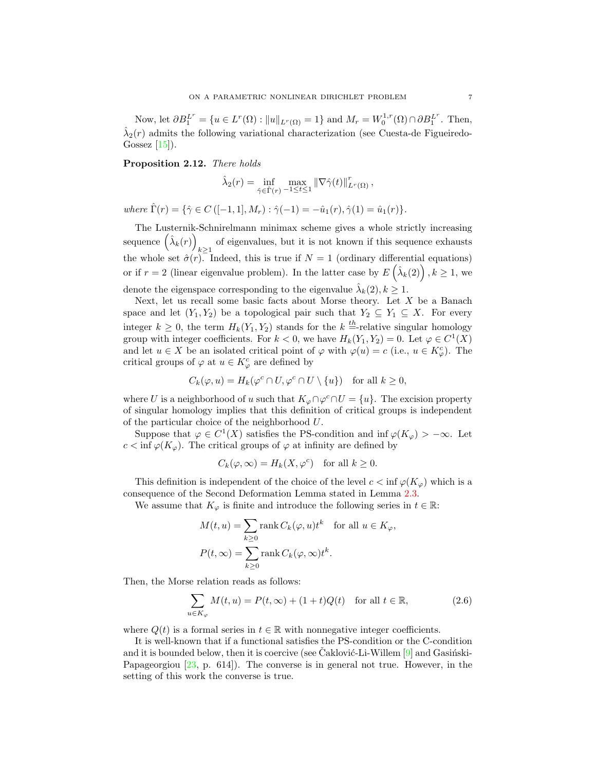Now, let  $\partial B_1^{L^r} = \{u \in L^r(\Omega) : ||u||_{L^r(\Omega)} = 1\}$  and  $M_r = W_0^{1,r}(\Omega) \cap \partial B_1^{L^r}$ . Then,  $\hat{\lambda}_2(r)$  admits the following variational characterization (see Cuesta-de Figueiredo-Gossez  $[15]$ .

<span id="page-6-0"></span>Proposition 2.12. There holds

$$
\hat{\lambda}_2(r) = \inf_{\hat{\gamma} \in \hat{\Gamma}(r)} \max_{-1 \leq t \leq 1} \|\nabla \hat{\gamma}(t)\|_{L^r(\Omega)}^r,
$$

where  $\hat{\Gamma}(r) = \{\hat{\gamma} \in C \left([-1, 1], M_r\right) : \hat{\gamma}(-1) = -\hat{u}_1(r), \hat{\gamma}(1) = \hat{u}_1(r)\}.$ 

The Lusternik-Schnirelmann minimax scheme gives a whole strictly increasing sequence  $(\hat{\lambda}_k(r))$ of eigenvalues, but it is not known if this sequence exhausts  $k \geq 1$ the whole set  $\hat{\sigma}(r)$ . Indeed, this is true if  $N = 1$  (ordinary differential equations) or if  $r = 2$  (linear eigenvalue problem). In the latter case by  $E\left(\hat{\lambda}_k(2)\right), k \geq 1$ , we denote the eigenspace corresponding to the eigenvalue  $\hat{\lambda}_k(2), k \geq 1$ .

Next, let us recall some basic facts about Morse theory. Let  $X$  be a Banach space and let  $(Y_1, Y_2)$  be a topological pair such that  $Y_2 \subseteq Y_1 \subseteq X$ . For every integer  $k \geq 0$ , the term  $H_k(Y_1, Y_2)$  stands for the  $k =$ -relative singular homology group with integer coefficients. For  $k < 0$ , we have  $H_k(Y_1, Y_2) = 0$ . Let  $\varphi \in C^1(X)$ and let  $u \in X$  be an isolated critical point of  $\varphi$  with  $\varphi(u) = c$  (i.e.,  $u \in K_{\varphi}^{c}$ ). The critical groups of  $\varphi$  at  $u \in K_{\varphi}^{c}$  are defined by

$$
C_k(\varphi, u) = H_k(\varphi^c \cap U, \varphi^c \cap U \setminus \{u\}) \quad \text{for all } k \ge 0,
$$

where U is a neighborhood of u such that  $K_{\varphi} \cap \varphi^c \cap U = \{u\}$ . The excision property of singular homology implies that this definition of critical groups is independent of the particular choice of the neighborhood U.

Suppose that  $\varphi \in C^1(X)$  satisfies the PS-condition and inf  $\varphi(K_{\varphi}) > -\infty$ . Let  $c < \inf \varphi(K_{\varphi})$ . The critical groups of  $\varphi$  at infinity are defined by

$$
C_k(\varphi,\infty) = H_k(X,\varphi^c) \quad \text{for all } k \ge 0.
$$

This definition is independent of the choice of the level  $c < \inf \varphi(K_{\varphi})$  which is a consequence of the Second Deformation Lemma stated in Lemma [2.3.](#page-2-0)

We assume that  $K_{\varphi}$  is finite and introduce the following series in  $t \in \mathbb{R}$ :

<span id="page-6-1"></span>
$$
M(t, u) = \sum_{k \ge 0} \text{rank } C_k(\varphi, u)t^k \quad \text{for all } u \in K_{\varphi},
$$
  

$$
P(t, \infty) = \sum_{k \ge 0} \text{rank } C_k(\varphi, \infty)t^k.
$$

Then, the Morse relation reads as follows:

$$
\sum_{u \in K_{\varphi}} M(t, u) = P(t, \infty) + (1 + t)Q(t) \quad \text{for all } t \in \mathbb{R},
$$
\n(2.6)

where  $Q(t)$  is a formal series in  $t \in \mathbb{R}$  with nonnegative integer coefficients.

It is well-known that if a functional satisfies the PS-condition or the C-condition and it is bounded below, then it is coercive (see Caklović-Li-Willem  $[9]$  $[9]$  and Gasinski-Papageorgiou [\[23,](#page-24-5) p. 614]). The converse is in general not true. However, in the setting of this work the converse is true.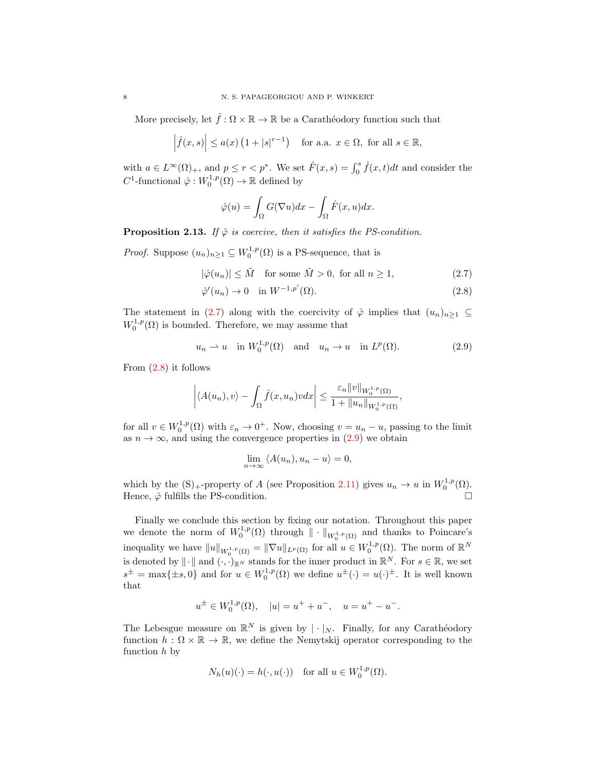More precisely, let  $\hat{f}:\Omega\times\mathbb{R}\to\mathbb{R}$  be a Carathéodory function such that

$$
\left|\hat{f}(x,s)\right| \le a(x)\left(1+|s|^{r-1}\right) \quad \text{for a.a. } x \in \Omega, \text{ for all } s \in \mathbb{R},
$$

with  $a \in L^{\infty}(\Omega)_{+}$ , and  $p \leq r < p^*$ . We set  $\hat{F}(x, s) = \int_0^s \hat{f}(x, t) dt$  and consider the  $C^1$ -functional  $\hat{\varphi}: W_0^{1,p}(\Omega) \to \mathbb{R}$  defined by

<span id="page-7-1"></span><span id="page-7-0"></span>
$$
\hat{\varphi}(u) = \int_{\Omega} G(\nabla u) dx - \int_{\Omega} \hat{F}(x, u) dx.
$$

<span id="page-7-3"></span>**Proposition 2.13.** If  $\hat{\varphi}$  is coercive, then it satisfies the PS-condition.

*Proof.* Suppose  $(u_n)_{n\geq 1} \subseteq W_0^{1,p}(\Omega)$  is a PS-sequence, that is

$$
|\hat{\varphi}(u_n)| \le \tilde{M} \quad \text{for some } \tilde{M} > 0, \text{ for all } n \ge 1,
$$
\n(2.7)

$$
\hat{\varphi}'(u_n) \to 0 \quad \text{in } W^{-1,p'}(\Omega). \tag{2.8}
$$

The statement in [\(2.7\)](#page-7-0) along with the coercivity of  $\hat{\varphi}$  implies that  $(u_n)_{n>1} \subseteq$  $W_0^{1,p}(\Omega)$  is bounded. Therefore, we may assume that

$$
u_n \rightharpoonup u \quad \text{in } W_0^{1,p}(\Omega) \quad \text{and} \quad u_n \to u \quad \text{in } L^p(\Omega). \tag{2.9}
$$

From [\(2.8\)](#page-7-1) it follows

$$
\left| \langle A(u_n), v \rangle - \int_{\Omega} \hat{f}(x, u_n) v dx \right| \leq \frac{\varepsilon_n \|v\|_{W_0^{1, p}(\Omega)}}{1 + \|u_n\|_{W_0^{1, p}(\Omega)}},
$$

for all  $v \in W_0^{1,p}(\Omega)$  with  $\varepsilon_n \to 0^+$ . Now, choosing  $v = u_n - u$ , passing to the limit as  $n \to \infty$ , and using the convergence properties in  $(2.9)$  we obtain

<span id="page-7-2"></span>
$$
\lim_{n \to \infty} \langle A(u_n), u_n - u \rangle = 0,
$$

which by the  $(S)$ <sub>+</sub>-property of A (see Proposition [2.11\)](#page-5-2) gives  $u_n \to u$  in  $W_0^{1,p}(\Omega)$ . Hence,  $\hat{\varphi}$  fulfills the PS-condition.

Finally we conclude this section by fixing our notation. Throughout this paper we denote the norm of  $W_0^{1,p}(\Omega)$  through  $\|\cdot\|_{W_0^{1,p}(\Omega)}$  and thanks to Poincare's inequality we have  $||u||_{W_0^{1,p}(\Omega)} = ||\nabla u||_{L^p(\Omega)}$  for all  $u \in W_0^{1,p}(\Omega)$ . The norm of  $\mathbb{R}^N$ is denoted by  $\|\cdot\|$  and  $(\cdot, \cdot)_{\mathbb{R}^N}$  stands for the inner product in  $\mathbb{R}^N$ . For  $s \in \mathbb{R}$ , we set  $s^{\pm} = \max\{\pm s, 0\}$  and for  $u \in W_0^{1,p}(\Omega)$  we define  $u^{\pm}(\cdot) = u(\cdot)^{\pm}$ . It is well known that

$$
u^{\pm} \in W_0^{1,p}(\Omega), \quad |u| = u^+ + u^-, \quad u = u^+ - u^-.
$$

The Lebesgue measure on  $\mathbb{R}^N$  is given by  $|\cdot|_N$ . Finally, for any Carathéodory function  $h : \Omega \times \mathbb{R} \to \mathbb{R}$ , we define the Nemytskij operator corresponding to the function h by

$$
N_h(u)(\cdot) = h(\cdot, u(\cdot)) \quad \text{for all } u \in W_0^{1,p}(\Omega).
$$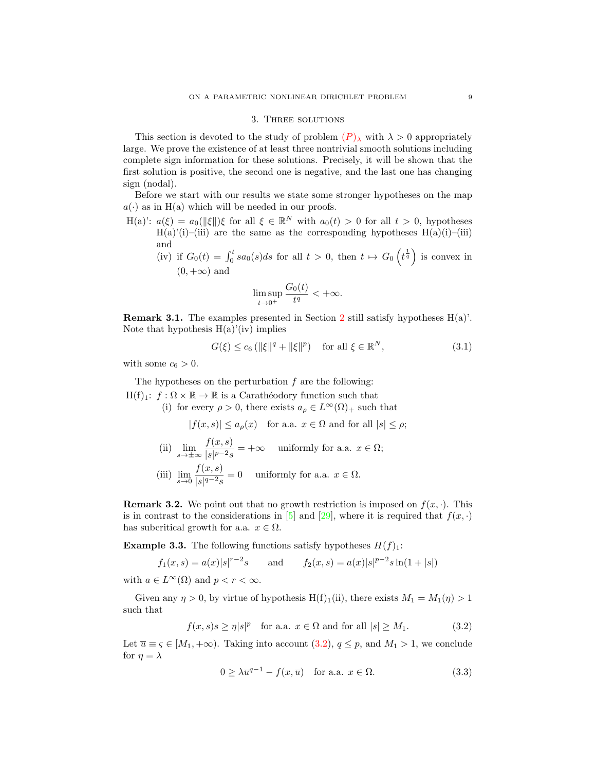#### 3. Three solutions

This section is devoted to the study of problem  $(P)_{\lambda}$  $(P)_{\lambda}$  $(P)_{\lambda}$  with  $\lambda > 0$  appropriately large. We prove the existence of at least three nontrivial smooth solutions including complete sign information for these solutions. Precisely, it will be shown that the first solution is positive, the second one is negative, and the last one has changing sign (nodal).

Before we start with our results we state some stronger hypotheses on the map  $a(\cdot)$  as in H(a) which will be needed in our proofs.

- H(a)':  $a(\xi) = a_0(\|\xi\|) \xi$  for all  $\xi \in \mathbb{R}^N$  with  $a_0(t) > 0$  for all  $t > 0$ , hypotheses  $H(a)'(i)$ –(iii) are the same as the corresponding hypotheses  $H(a)(i)$ –(iii) and
	- (iv) if  $G_0(t) = \int_0^t sa_0(s)ds$  for all  $t > 0$ , then  $t \mapsto G_0\left(t^{\frac{1}{q}}\right)$  is convex in  $(0, +\infty)$  and

<span id="page-8-2"></span>
$$
\limsup_{t \to 0^+} \frac{G_0(t)}{t^q} < +\infty.
$$

<span id="page-8-1"></span>**Remark 3.1.** The examples presented in Section [2](#page-1-0) still satisfy hypotheses  $H(a)$ . Note that hypothesis  $H(a)'(iv)$  implies

$$
G(\xi) \le c_6 \left( \|\xi\|^q + \|\xi\|^p \right) \quad \text{for all } \xi \in \mathbb{R}^N,\tag{3.1}
$$

with some  $c_6 > 0$ .

The hypotheses on the perturbation  $f$  are the following:  $H(f)_1: f: \Omega \times \mathbb{R} \to \mathbb{R}$  is a Carathéodory function such that

(i) for every  $\rho > 0$ , there exists  $a_{\rho} \in L^{\infty}(\Omega)_{+}$  such that

 $|f(x, s)| \le a_{\rho}(x)$  for a.a.  $x \in \Omega$  and for all  $|s| \le \rho$ ;

(ii)  $\lim_{s \to \pm \infty} \frac{f(x, s)}{|s|^{p-2} s}$  $\frac{\partial f(x, y)}{\partial s|p-2s}$  = + $\infty$  uniformly for a.a.  $x \in \Omega$ ; (iii)  $\lim_{s \to 0} \frac{f(x, s)}{|s|^{q-2} s}$  $\frac{\int_{S}^{x}(x, y)}{|s|^{q-2}s} = 0$  uniformly for a.a.  $x \in \Omega$ .

**Remark 3.2.** We point out that no growth restriction is imposed on  $f(x, \cdot)$ . This is in contrast to the considerations in [\[5\]](#page-23-2) and [\[29\]](#page-24-3), where it is required that  $f(x, \cdot)$ has subcritical growth for a.a.  $x \in \Omega$ .

**Example 3.3.** The following functions satisfy hypotheses  $H(f)_1$ :

$$
f_1(x, s) = a(x)|s|^{r-2}s
$$
 and  $f_2(x, s) = a(x)|s|^{p-2}s\ln(1+|s|)$ 

with  $a \in L^{\infty}(\Omega)$  and  $p < r < \infty$ .

Given any  $\eta > 0$ , by virtue of hypothesis H(f)<sub>1</sub>(ii), there exists  $M_1 = M_1(\eta) > 1$ such that

$$
f(x,s)s \ge \eta|s|^p \quad \text{for a.a. } x \in \Omega \text{ and for all } |s| \ge M_1. \tag{3.2}
$$

Let  $\overline{u} \equiv \varsigma \in [M_1, +\infty)$ . Taking into account  $(3.2), q \leq p$ , and  $M_1 > 1$ , we conclude for  $\eta = \lambda$ 

<span id="page-8-3"></span><span id="page-8-0"></span>
$$
0 \ge \lambda \overline{u}^{q-1} - f(x, \overline{u}) \quad \text{for a.a. } x \in \Omega.
$$
 (3.3)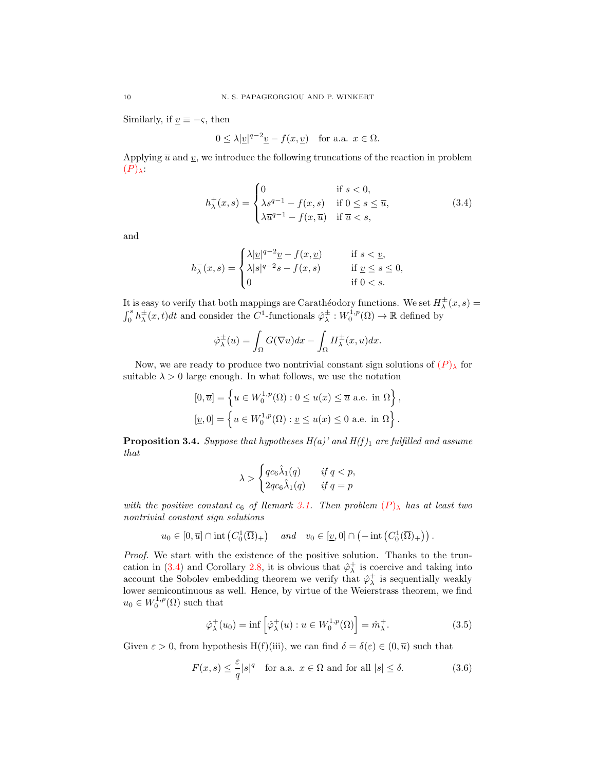Similarly, if  $\underline{v} \equiv -\varsigma$ , then

<span id="page-9-0"></span>
$$
0 \le \lambda |\underline{v}|^{q-2} \underline{v} - f(x, \underline{v}) \quad \text{for a.a. } x \in \Omega.
$$

Applying  $\overline{u}$  and  $\underline{v}$ , we introduce the following truncations of the reaction in problem  $(P)_{\lambda}$  $(P)_{\lambda}$  $(P)_{\lambda}$ :

$$
h^+_{\lambda}(x,s) = \begin{cases} 0 & \text{if } s < 0, \\ \lambda s^{q-1} - f(x,s) & \text{if } 0 \le s \le \overline{u}, \\ \lambda \overline{u}^{q-1} - f(x,\overline{u}) & \text{if } \overline{u} < s, \end{cases} \tag{3.4}
$$

and

$$
h^-_\lambda(x,s)=\begin{cases} \lambda|\underline{v}|^{q-2}\underline{v}-f(x,\underline{v})\quad&\text{if }s<\underline{v},\\ \lambda|s|^{q-2}s-f(x,s)\quad&\text{if }\underline{v}\leq s\leq 0,\\ 0\quad&\text{if }0
$$

It is easy to verify that both mappings are Carathéodory functions. We set  $H^{\pm}_{\lambda}(x,s) =$  $\int_0^s h_\lambda^{\pm}(x,t)dt$  and consider the C<sup>1</sup>-functionals  $\hat{\varphi}_\lambda^{\pm}: W_0^{1,p}(\Omega) \to \mathbb{R}$  defined by

$$
\hat{\varphi}_{\lambda}^{\pm}(u) = \int_{\Omega} G(\nabla u) dx - \int_{\Omega} H_{\lambda}^{\pm}(x, u) dx.
$$

Now, we are ready to produce two nontrivial constant sign solutions of  $(P)_{\lambda}$  $(P)_{\lambda}$  $(P)_{\lambda}$  for suitable  $\lambda > 0$  large enough. In what follows, we use the notation

$$
[0,\overline{u}] = \left\{ u \in W_0^{1,p}(\Omega) : 0 \le u(x) \le \overline{u} \text{ a.e. in } \Omega \right\},\
$$
  

$$
[\underline{v},0] = \left\{ u \in W_0^{1,p}(\Omega) : \underline{v} \le u(x) \le 0 \text{ a.e. in } \Omega \right\}.
$$

<span id="page-9-3"></span>**Proposition 3.4.** Suppose that hypotheses  $H(a)$ ' and  $H(f)_1$  are fulfilled and assume that

$$
\lambda > \begin{cases} qc_6\hat{\lambda}_1(q) & \text{if } q < p, \\ 2qc_6\hat{\lambda}_1(q) & \text{if } q = p \end{cases}
$$

with the positive constant  $c_6$  of Remark [3.1.](#page-8-1) Then problem  $(P)_{\lambda}$  $(P)_{\lambda}$  $(P)_{\lambda}$  has at least two nontrivial constant sign solutions

$$
u_0 \in [0, \overline{u}] \cap \text{int}\left(C_0^1(\overline{\Omega})_+\right) \quad \text{and} \quad v_0 \in [\underline{v}, 0] \cap \left(-\text{int}\left(C_0^1(\overline{\Omega})_+\right)\right).
$$

Proof. We start with the existence of the positive solution. Thanks to the trun-cation in [\(3.4\)](#page-9-0) and Corollary [2.8,](#page-3-1) it is obvious that  $\hat{\varphi}_{\lambda}^{+}$  is coercive and taking into account the Sobolev embedding theorem we verify that  $\hat{\varphi}_{\lambda}^{+}$  is sequentially weakly lower semicontinuous as well. Hence, by virtue of the Weierstrass theorem, we find  $u_0 \in W_0^{1,p}(\Omega)$  such that

<span id="page-9-2"></span><span id="page-9-1"></span>
$$
\hat{\varphi}_{\lambda}^{+}(u_0) = \inf \left[ \hat{\varphi}_{\lambda}^{+}(u) : u \in W_0^{1,p}(\Omega) \right] = \hat{m}_{\lambda}^{+}.
$$
\n(3.5)

Given  $\varepsilon > 0$ , from hypothesis H(f)(iii), we can find  $\delta = \delta(\varepsilon) \in (0, \overline{u})$  such that

$$
F(x,s) \le \frac{\varepsilon}{q} |s|^q \quad \text{for a.a. } x \in \Omega \text{ and for all } |s| \le \delta. \tag{3.6}
$$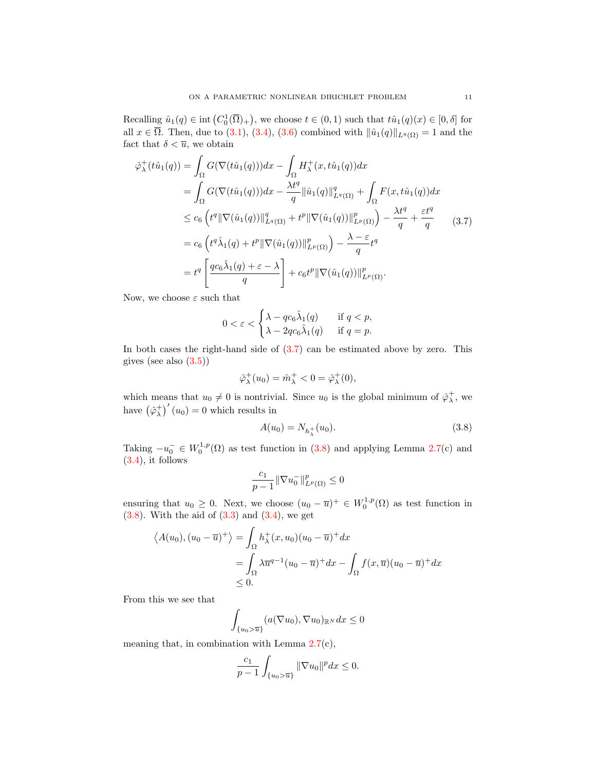Recalling  $\hat{u}_1(q) \in \text{int}(C_0^1(\overline{\Omega})_+)$ , we choose  $t \in (0,1)$  such that  $t\hat{u}_1(q)(x) \in [0,\delta]$  for all  $x \in \overline{\Omega}$ . Then, due to [\(3.1\)](#page-8-2), [\(3.4\)](#page-9-0), [\(3.6\)](#page-9-1) combined with  $\|\hat{u}_1(q)\|_{L^q(\Omega)} = 1$  and the fact that  $\delta < \overline{u}$ , we obtain

$$
\hat{\varphi}_{\lambda}^{+}(t\hat{u}_{1}(q)) = \int_{\Omega} G(\nabla(t\hat{u}_{1}(q)))dx - \int_{\Omega} H_{\lambda}^{+}(x,t\hat{u}_{1}(q))dx \n= \int_{\Omega} G(\nabla(t\hat{u}_{1}(q)))dx - \frac{\lambda t^{q}}{q} \|\hat{u}_{1}(q)\|_{L^{q}(\Omega)}^{q} + \int_{\Omega} F(x,t\hat{u}_{1}(q))dx \n\leq c_{6} \left( t^{q} \|\nabla(\hat{u}_{1}(q))\|_{L^{q}(\Omega)}^{q} + t^{p} \|\nabla(\hat{u}_{1}(q))\|_{L^{p}(\Omega)}^{p} \right) - \frac{\lambda t^{q}}{q} + \frac{\varepsilon t^{q}}{q} \qquad (3.7) \n= c_{6} \left( t^{q} \hat{\lambda}_{1}(q) + t^{p} \|\nabla(\hat{u}_{1}(q))\|_{L^{p}(\Omega)}^{p} \right) - \frac{\lambda - \varepsilon}{q} t^{q} \n= t^{q} \left[ \frac{qc_{6}\hat{\lambda}_{1}(q) + \varepsilon - \lambda}{q} \right] + c_{6} t^{p} \|\nabla(\hat{u}_{1}(q))\|_{L^{p}(\Omega)}^{p}.
$$

Now, we choose  $\varepsilon$  such that

<span id="page-10-0"></span>
$$
0 < \varepsilon < \begin{cases} \lambda - qc_6\hat{\lambda}_1(q) & \text{if } q < p, \\ \lambda - 2qc_6\hat{\lambda}_1(q) & \text{if } q = p. \end{cases}
$$

In both cases the right-hand side of [\(3.7\)](#page-10-0) can be estimated above by zero. This gives (see also  $(3.5)$ )

$$
\hat{\varphi}_{\lambda}^+(u_0) = \hat{m}_{\lambda}^+ < 0 = \hat{\varphi}_{\lambda}^+(0),
$$

which means that  $u_0 \neq 0$  is nontrivial. Since  $u_0$  is the global minimum of  $\hat{\varphi}_\lambda^+$ , we have  $(\hat{\varphi}_{\lambda}^{+})'(u_0) = 0$  which results in

<span id="page-10-1"></span>
$$
A(u_0) = N_{h_\lambda^+}(u_0). \tag{3.8}
$$

Taking  $-u_0^- \in W_0^{1,p}(\Omega)$  as test function in [\(3.8\)](#page-10-1) and applying Lemma [2.7\(](#page-3-0)c) and [\(3.4\)](#page-9-0), it follows

$$
\frac{c_1}{p-1} \|\nabla u_0^-\|_{L^p(\Omega)}^p \le 0
$$

ensuring that  $u_0 \geq 0$ . Next, we choose  $(u_0 - \overline{u})^+ \in W_0^{1,p}(\Omega)$  as test function in  $(3.8)$ . With the aid of  $(3.3)$  and  $(3.4)$ , we get

$$
\langle A(u_0), (u_0 - \overline{u})^+ \rangle = \int_{\Omega} h_{\lambda}^+(x, u_0)(u_0 - \overline{u})^+ dx
$$
  
= 
$$
\int_{\Omega} \lambda \overline{u}^{q-1} (u_0 - \overline{u})^+ dx - \int_{\Omega} f(x, \overline{u})(u_0 - \overline{u})^+ dx
$$
  
\$\leq\$ 0.

From this we see that

$$
\int_{\{u_0>\overline{u}\}} (a(\nabla u_0), \nabla u_0)_{\mathbb{R}^N} dx \le 0
$$

meaning that, in combination with Lemma [2.7\(](#page-3-0)c),

$$
\frac{c_1}{p-1} \int_{\{u_0 > \overline{u}\}} ||\nabla u_0||^p dx \le 0.
$$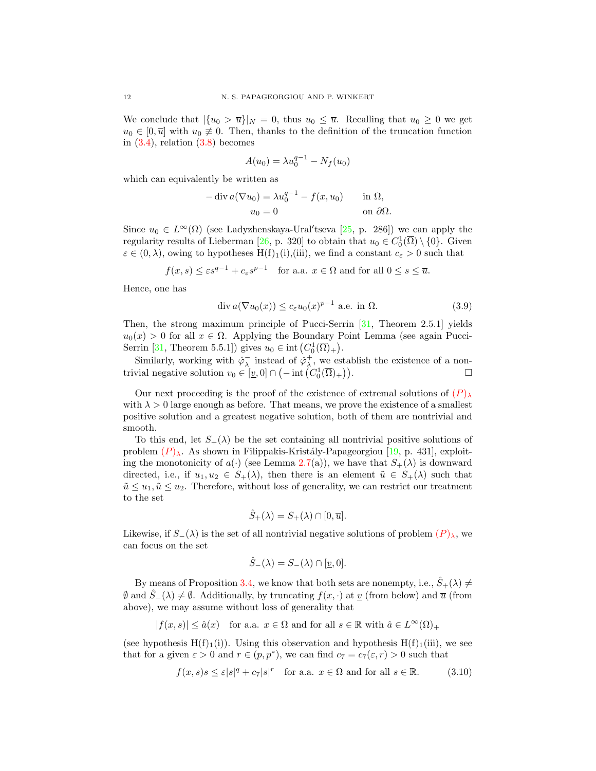We conclude that  $|\{u_0 > \overline{u}\}|_N = 0$ , thus  $u_0 \leq \overline{u}$ . Recalling that  $u_0 \geq 0$  we get  $u_0 \in [0, \overline{u}]$  with  $u_0 \neq 0$ . Then, thanks to the definition of the truncation function in  $(3.4)$ , relation  $(3.8)$  becomes

$$
A(u_0) = \lambda u_0^{q-1} - N_f(u_0)
$$

which can equivalently be written as

$$
-\operatorname{div} a(\nabla u_0) = \lambda u_0^{q-1} - f(x, u_0) \quad \text{in } \Omega,
$$
  

$$
u_0 = 0 \quad \text{on } \partial\Omega.
$$

Since  $u_0 \in L^{\infty}(\Omega)$  (see Ladyzhenskaya-Ural'tseva [\[25,](#page-24-16) p. 286]) we can apply the regularity results of Lieberman [\[26,](#page-24-17) p. 320] to obtain that  $u_0 \in C_0^1(\overline{\Omega}) \setminus \{0\}$ . Given  $\varepsilon \in (0, \lambda)$ , owing to hypotheses  $H(f)_1(i), (iii)$ , we find a constant  $c_{\varepsilon} > 0$  such that

$$
f(x, s) \le \varepsilon s^{q-1} + c_{\varepsilon} s^{p-1}
$$
 for a.a.  $x \in \Omega$  and for all  $0 \le s \le \overline{u}$ .

Hence, one has

$$
\operatorname{div} a(\nabla u_0(x)) \le c_\varepsilon u_0(x)^{p-1} \text{ a.e. in } \Omega. \tag{3.9}
$$

Then, the strong maximum principle of Pucci-Serrin [\[31,](#page-24-21) Theorem 2.5.1] yields  $u_0(x) > 0$  for all  $x \in \Omega$ . Applying the Boundary Point Lemma (see again Pucci-Serrin [\[31,](#page-24-21) Theorem 5.5.1]) gives  $u_0 \in \text{int} (C_0^1(\overline{\Omega})_+).$ 

Similarly, working with  $\hat{\varphi}_{\lambda}^{-}$  instead of  $\hat{\varphi}_{\lambda}^{+}$ , we establish the existence of a nontrivial negative solution  $v_0 \in [\underline{v}, 0] \cap (-\text{int}(C_0^1(\overline{\Omega})_+))$ )).  $\qquad \qquad \Box$ 

Our next proceeding is the proof of the existence of extremal solutions of  $(P)$  $(P)$  $(P)$ <sub>λ</sub> with  $\lambda > 0$  large enough as before. That means, we prove the existence of a smallest positive solution and a greatest negative solution, both of them are nontrivial and smooth.

To this end, let  $S_+(\lambda)$  be the set containing all nontrivial positive solutions of problem  $(P)_{\lambda}$  $(P)_{\lambda}$  $(P)_{\lambda}$ . As shown in Filippakis-Kristály-Papageorgiou [\[19,](#page-24-22) p. 431], exploiting the monotonicity of  $a(\cdot)$  (see Lemma [2.7\(](#page-3-0)a)), we have that  $S_+(\lambda)$  is downward directed, i.e., if  $u_1, u_2 \in S_+(\lambda)$ , then there is an element  $\tilde{u} \in S_+(\lambda)$  such that  $\tilde{u} \leq u_1, \tilde{u} \leq u_2$ . Therefore, without loss of generality, we can restrict our treatment to the set

$$
\hat{S}_+(\lambda) = S_+(\lambda) \cap [0, \overline{u}].
$$

Likewise, if  $S_-(\lambda)$  is the set of all nontrivial negative solutions of problem  $(P)_{\lambda}$  $(P)_{\lambda}$  $(P)_{\lambda}$ , we can focus on the set

<span id="page-11-0"></span>
$$
\hat{S}_{-}(\lambda) = S_{-}(\lambda) \cap [\underline{v}, 0].
$$

By means of Proposition [3.4,](#page-9-3) we know that both sets are nonempty, i.e.,  $\hat{S}_+(\lambda) \neq$  $\emptyset$  and  $S_-(\lambda) \neq \emptyset$ . Additionally, by truncating  $f(x, \cdot)$  at v (from below) and  $\overline{u}$  (from above), we may assume without loss of generality that

$$
|f(x,s)| \le \hat{a}(x) \quad \text{for a.a. } x \in \Omega \text{ and for all } s \in \mathbb{R} \text{ with } \hat{a} \in L^{\infty}(\Omega)_{+}
$$

(see hypothesis  $H(f)<sub>1</sub>(i)$ ). Using this observation and hypothesis  $H(f)<sub>1</sub>(iii)$ , we see that for a given  $\varepsilon > 0$  and  $r \in (p, p^*)$ , we can find  $c_7 = c_7(\varepsilon, r) > 0$  such that

$$
f(x,s)s \le \varepsilon |s|^q + c_7|s|^r \quad \text{for a.a. } x \in \Omega \text{ and for all } s \in \mathbb{R}.
$$
 (3.10)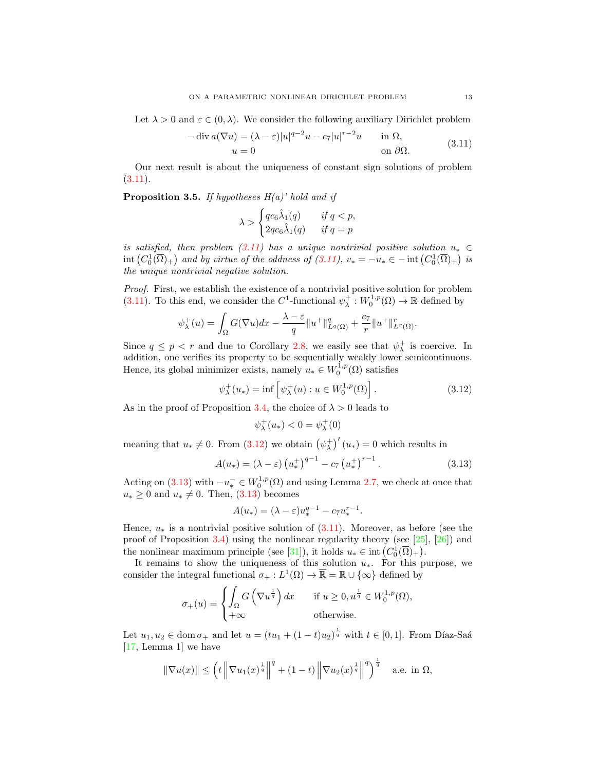Let  $\lambda > 0$  and  $\varepsilon \in (0, \lambda)$ . We consider the following auxiliary Dirichlet problem

<span id="page-12-0"></span>
$$
-\operatorname{div} a(\nabla u) = (\lambda - \varepsilon)|u|^{q-2}u - c_7|u|^{r-2}u \quad \text{in } \Omega,
$$
  
\n
$$
u = 0 \quad \text{on } \partial\Omega.
$$
 (3.11)

Our next result is about the uniqueness of constant sign solutions of problem  $(3.11).$  $(3.11).$ 

<span id="page-12-3"></span>**Proposition 3.5.** If hypotheses  $H(a)$ ' hold and if

$$
\lambda > \begin{cases} qc_6\hat{\lambda}_1(q) & \text{if } q < p, \\ 2qc_6\hat{\lambda}_1(q) & \text{if } q = p \end{cases}
$$

is satisfied, then problem [\(3.11\)](#page-12-0) has a unique nontrivial positive solution  $u_* \in$  $\mathrm{int}\left(C_0^1(\overline{\Omega})_+\right)$  and by virtue of the oddness of  $(3.11)$ ,  $v_* = -u_* \in -\mathrm{int}\left(C_0^1(\overline{\Omega})_+\right)$  is the unique nontrivial negative solution.

Proof. First, we establish the existence of a nontrivial positive solution for problem [\(3.11\)](#page-12-0). To this end, we consider the  $C^1$ -functional  $\psi_\lambda^+ : W_0^{1,p}(\Omega) \to \mathbb{R}$  defined by

$$
\psi_{\lambda}^+(u) = \int_{\Omega} G(\nabla u) dx - \frac{\lambda - \varepsilon}{q} ||u^+||_{L^q(\Omega)}^q + \frac{c_7}{r} ||u^+||_{L^r(\Omega)}^r.
$$

Since  $q \leq p < r$  and due to Corollary [2.8,](#page-3-1) we easily see that  $\psi_{\lambda}^{+}$  is coercive. In addition, one verifies its property to be sequentially weakly lower semicontinuous. Hence, its global minimizer exists, namely  $u_* \in W_0^{1,p}(\Omega)$  satisfies

$$
\psi_{\lambda}^{+}(u_{*}) = \inf \left[ \psi_{\lambda}^{+}(u) : u \in W_{0}^{1,p}(\Omega) \right]. \tag{3.12}
$$

As in the proof of Proposition [3.4,](#page-9-3) the choice of  $\lambda > 0$  leads to

<span id="page-12-2"></span><span id="page-12-1"></span>
$$
\psi_{\lambda}^{+}(u_{*}) < 0 = \psi_{\lambda}^{+}(0)
$$

meaning that  $u_* \neq 0$ . From [\(3.12\)](#page-12-1) we obtain  $(\psi_{\lambda}^+)'(u_*) = 0$  which results in

$$
A(u_*) = (\lambda - \varepsilon) (u_*^+)^{q-1} - c_7 (u_*^+)^{r-1}.
$$
 (3.13)

Acting on [\(3.13\)](#page-12-2) with  $-u_*^- \in W_0^{1,p}(\Omega)$  and using Lemma [2.7,](#page-3-0) we check at once that  $u_* \geq 0$  and  $u_* \neq 0$ . Then,  $(3.13)$  becomes

$$
A(u_*) = (\lambda - \varepsilon)u_*^{q-1} - c_7 u_*^{r-1}.
$$

Hence,  $u_*$  is a nontrivial positive solution of  $(3.11)$ . Moreover, as before (see the proof of Proposition [3.4\)](#page-9-3) using the nonlinear regularity theory (see [\[25\]](#page-24-16), [\[26\]](#page-24-17)) and the nonlinear maximum principle (see [\[31\]](#page-24-21)), it holds  $u_* \in \text{int}(C_0^1(\overline{\Omega})_+)$ .

It remains to show the uniqueness of this solution  $u_*$ . For this purpose, we consider the integral functional  $\sigma_+ : L^1(\Omega) \to \overline{\mathbb{R}} = \mathbb{R} \cup {\infty}$  defined by

$$
\sigma_+(u) = \begin{cases} \int_{\Omega} G\left(\nabla u^{\frac{1}{q}}\right) dx & \text{if } u \ge 0, u^{\frac{1}{q}} \in W_0^{1,p}(\Omega), \\ +\infty & \text{otherwise.} \end{cases}
$$

Let  $u_1, u_2 \in \text{dom } \sigma_+$  and let  $u = (tu_1 + (1-t)u_2)^{\frac{1}{q}}$  with  $t \in [0,1]$ . From Díaz-Saá [\[17,](#page-24-23) Lemma 1] we have

$$
\|\nabla u(x)\| \le \left(t\left\|\nabla u_1(x)^{\frac{1}{q}}\right\|^q + (1-t)\left\|\nabla u_2(x)^{\frac{1}{q}}\right\|^q\right)^{\frac{1}{q}} \quad \text{a.e. in } \Omega,
$$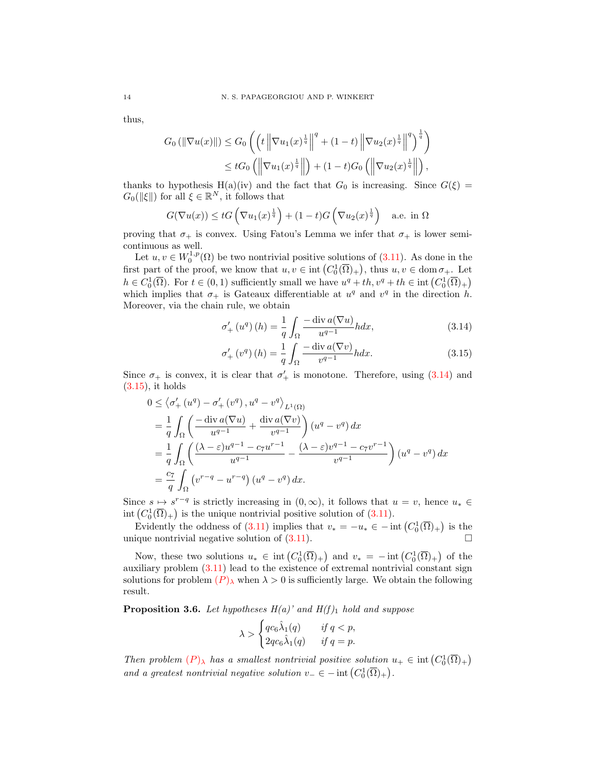thus,

$$
G_0(||\nabla u(x)||) \le G_0 \left( \left( t \left\| \nabla u_1(x)^{\frac{1}{q}} \right\|^q + (1-t) \left\| \nabla u_2(x)^{\frac{1}{q}} \right\|^q \right)^{\frac{1}{q}} \right) \le t G_0 \left( \left\| \nabla u_1(x)^{\frac{1}{q}} \right\| \right) + (1-t) G_0 \left( \left\| \nabla u_2(x)^{\frac{1}{q}} \right\| \right),
$$

thanks to hypothesis H(a)(iv) and the fact that  $G_0$  is increasing. Since  $G(\xi)$  =  $G_0(\|\xi\|)$  for all  $\xi \in \mathbb{R}^N$ , it follows that

$$
G(\nabla u(x)) \le tG\left(\nabla u_1(x)^{\frac{1}{q}}\right) + (1-t)G\left(\nabla u_2(x)^{\frac{1}{q}}\right) \quad \text{a.e. in } \Omega
$$

proving that  $\sigma_+$  is convex. Using Fatou's Lemma we infer that  $\sigma_+$  is lower semicontinuous as well.

Let  $u, v \in W_0^{1,p}(\Omega)$  be two nontrivial positive solutions of  $(3.11)$ . As done in the first part of the proof, we know that  $u, v \in \text{int}(C_0^1(\overline{\Omega})_+)$ , thus  $u, v \in \text{dom }\sigma_+$ . Let  $h \in C_0^1(\overline{\Omega})$ . For  $t \in (0,1)$  sufficiently small we have  $u^q + th, v^q + th \in \text{int}(C_0^1(\overline{\Omega})_+)$ which implies that  $\sigma_+$  is Gateaux differentiable at  $u^q$  and  $v^q$  in the direction h. Moreover, via the chain rule, we obtain

<span id="page-13-0"></span>
$$
\sigma'_{+}\left(u^{q}\right)(h) = \frac{1}{q} \int_{\Omega} \frac{-\operatorname{div} a(\nabla u)}{u^{q-1}} h dx, \tag{3.14}
$$

<span id="page-13-1"></span>
$$
\sigma'_{+}\left(v^{q}\right)(h) = \frac{1}{q} \int_{\Omega} \frac{-\operatorname{div} a(\nabla v)}{v^{q-1}} h dx.
$$
\n(3.15)

Since  $\sigma_+$  is convex, it is clear that  $\sigma'_+$  is monotone. Therefore, using [\(3.14\)](#page-13-0) and  $(3.15)$ , it holds

$$
0 \leq \langle \sigma'_+(u^q) - \sigma'_+(v^q), u^q - v^q \rangle_{L^1(\Omega)}
$$
  
\n
$$
= \frac{1}{q} \int_{\Omega} \left( \frac{-\operatorname{div} a(\nabla u)}{u^{q-1}} + \frac{\operatorname{div} a(\nabla v)}{v^{q-1}} \right) (u^q - v^q) dx
$$
  
\n
$$
= \frac{1}{q} \int_{\Omega} \left( \frac{(\lambda - \varepsilon)u^{q-1} - c_7 u^{r-1}}{u^{q-1}} - \frac{(\lambda - \varepsilon) v^{q-1} - c_7 v^{r-1}}{v^{q-1}} \right) (u^q - v^q) dx
$$
  
\n
$$
= \frac{c_7}{q} \int_{\Omega} \left( v^{r-q} - u^{r-q} \right) (u^q - v^q) dx.
$$

Since  $s \mapsto s^{r-q}$  is strictly increasing in  $(0, \infty)$ , it follows that  $u = v$ , hence  $u_* \in$ int  $(C_0^1(\overline{\Omega})_+)$  is the unique nontrivial positive solution of  $(3.11)$ .

Evidently the oddness of  $(3.11)$  implies that  $v_* = -u_* \in -\text{int}\left(C_0^1(\overline{\Omega})_+\right)$  is the unique nontrivial negative solution of  $(3.11)$ .

Now, these two solutions  $u_* \in \text{int}\left(C_0^1(\overline{\Omega})_+\right)$  and  $v_* = -\text{int}\left(C_0^1(\overline{\Omega})_+\right)$  of the auxiliary problem [\(3.11\)](#page-12-0) lead to the existence of extremal nontrivial constant sign solutions for problem  $(P)_{\lambda}$  $(P)_{\lambda}$  $(P)_{\lambda}$  when  $\lambda > 0$  is sufficiently large. We obtain the following result.

<span id="page-13-2"></span>**Proposition 3.6.** Let hypotheses  $H(a)$ ' and  $H(f)_1$  hold and suppose

$$
\lambda > \begin{cases} qc_6\hat{\lambda}_1(q) & \text{if } q < p, \\ 2qc_6\hat{\lambda}_1(q) & \text{if } q = p. \end{cases}
$$

Then problem  $(P)_{\lambda}$  $(P)_{\lambda}$  $(P)_{\lambda}$  has a smallest nontrivial positive solution  $u_+ \in \text{int}(C_0^1(\overline{\Omega})_+)$ and a greatest nontrivial negative solution  $v_-\in$  - int  $(C_0^1(\overline{\Omega})_+)$ .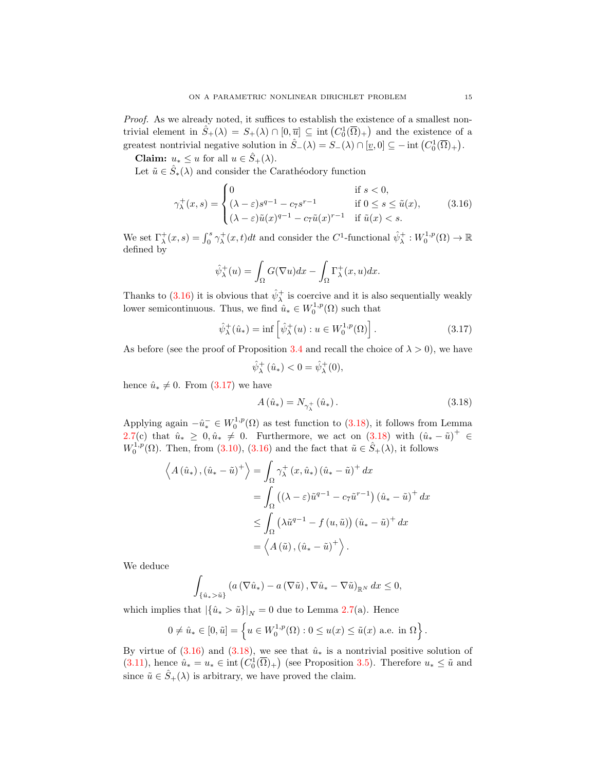Proof. As we already noted, it suffices to establish the existence of a smallest nontrivial element in  $\hat{S}_+(\lambda) = S_+(\lambda) \cap [0, \overline{u}] \subseteq \text{int}(C_0^1(\overline{\Omega})_+)$  and the existence of a greatest nontrivial negative solution in  $\hat{S}_-(\lambda) = S_-(\lambda) \cap [\underline{v},0] \subseteq - \text{int}(C_0^1(\overline{\Omega})_+).$ 

Claim:  $u_* \leq u$  for all  $u \in \hat{S}_+(\lambda)$ .

Let  $\tilde{u} \in \hat{S}_*(\lambda)$  and consider the Carathéodory function

$$
\gamma_{\lambda}^+(x,s) = \begin{cases}\n0 & \text{if } s < 0, \\
(\lambda - \varepsilon)s^{q-1} - c_7s^{r-1} & \text{if } 0 \le s \le \tilde{u}(x), \\
(\lambda - \varepsilon)\tilde{u}(x)^{q-1} - c_7\tilde{u}(x)^{r-1} & \text{if } \tilde{u}(x) < s.\n\end{cases}
$$
\n(3.16)

We set  $\Gamma_{\lambda}^{+}(x, s) = \int_{0}^{s} \gamma_{\lambda}^{+}(x, t)dt$  and consider the C<sup>1</sup>-functional  $\hat{\psi}_{\lambda}^{+}: W_{0}^{1, p}(\Omega) \to \mathbb{R}$ defined by

<span id="page-14-0"></span>
$$
\hat{\psi}_{\lambda}^{+}(u) = \int_{\Omega} G(\nabla u) dx - \int_{\Omega} \Gamma_{\lambda}^{+}(x, u) dx.
$$

Thanks to [\(3.16\)](#page-14-0) it is obvious that  $\hat{\psi}_{\lambda}^{+}$  is coercive and it is also sequentially weakly lower semicontinuous. Thus, we find  $\hat{u}_* \in W_0^{1,p}(\Omega)$  such that

$$
\hat{\psi}_{\lambda}^{+}(\hat{u}_{*}) = \inf \left[ \hat{\psi}_{\lambda}^{+}(u) : u \in W_{0}^{1,p}(\Omega) \right]. \tag{3.17}
$$

As before (see the proof of Proposition [3.4](#page-9-3) and recall the choice of  $\lambda > 0$ ), we have

<span id="page-14-1"></span>
$$
\hat{\psi}_{\lambda}^{+}(\hat{u}_{*}) < 0 = \hat{\psi}_{\lambda}^{+}(0),
$$

hence  $\hat{u}_* \neq 0$ . From [\(3.17\)](#page-14-1) we have

<span id="page-14-2"></span>
$$
A(\hat{u}_*) = N_{\gamma_{\lambda}^+}(\hat{u}_*)\,. \tag{3.18}
$$

Applying again  $-\hat{u}_*^- \in W_0^{1,p}(\Omega)$  as test function to [\(3.18\)](#page-14-2), it follows from Lemma [2.7\(](#page-3-0)c) that  $\hat{u}_* \geq 0, \hat{u}_* \neq 0$ . Furthermore, we act on  $(3.18)$  with  $(\hat{u}_* - \tilde{u})^+ \in$  $W_0^{1,p}(\Omega)$ . Then, from [\(3.10\)](#page-11-0), [\(3.16\)](#page-14-0) and the fact that  $\tilde{u} \in \hat{S}_+(\lambda)$ , it follows

$$
\left\langle A\left(\hat{u}_{*}\right),\left(\hat{u}_{*}-\tilde{u}\right)^{+}\right\rangle = \int_{\Omega} \gamma_{\lambda}^{+}\left(x,\hat{u}_{*}\right)\left(\hat{u}_{*}-\tilde{u}\right)^{+} dx
$$

$$
= \int_{\Omega} \left(\left(\lambda - \varepsilon\right)\tilde{u}^{q-1} - c_{7}\tilde{u}^{r-1}\right)\left(\hat{u}_{*}-\tilde{u}\right)^{+} dx
$$

$$
\leq \int_{\Omega} \left(\lambda \tilde{u}^{q-1} - f\left(u,\tilde{u}\right)\right)\left(\hat{u}_{*}-\tilde{u}\right)^{+} dx
$$

$$
= \left\langle A\left(\tilde{u}\right),\left(\hat{u}_{*}-\tilde{u}\right)^{+}\right\rangle.
$$

We deduce

$$
\int_{\{\hat{u}_* > \tilde{u}\}} \left( a\left(\nabla \hat{u}_*\right) - a\left(\nabla \tilde{u}\right), \nabla \hat{u}_* - \nabla \tilde{u}\right)_{\mathbb{R}^N} dx \leq 0,
$$

which implies that  $|\{\hat{u}_*\rangle \tilde{u}\}|_N = 0$  due to Lemma [2.7\(](#page-3-0)a). Hence

$$
0 \neq \hat{u}_* \in [0, \tilde{u}] = \left\{ u \in W_0^{1,p}(\Omega) : 0 \leq u(x) \leq \tilde{u}(x) \text{ a.e. in } \Omega \right\}.
$$

By virtue of  $(3.16)$  and  $(3.18)$ , we see that  $\hat{u}_*$  is a nontrivial positive solution of [\(3.11\)](#page-12-0), hence  $\hat{u}_* = u_* \in \text{int}\left(C_0^1(\overline{\Omega})_+\right)$  (see Proposition [3.5\)](#page-12-3). Therefore  $u_* \leq \tilde{u}$  and since  $\tilde{u} \in \hat{S}_+(\lambda)$  is arbitrary, we have proved the claim.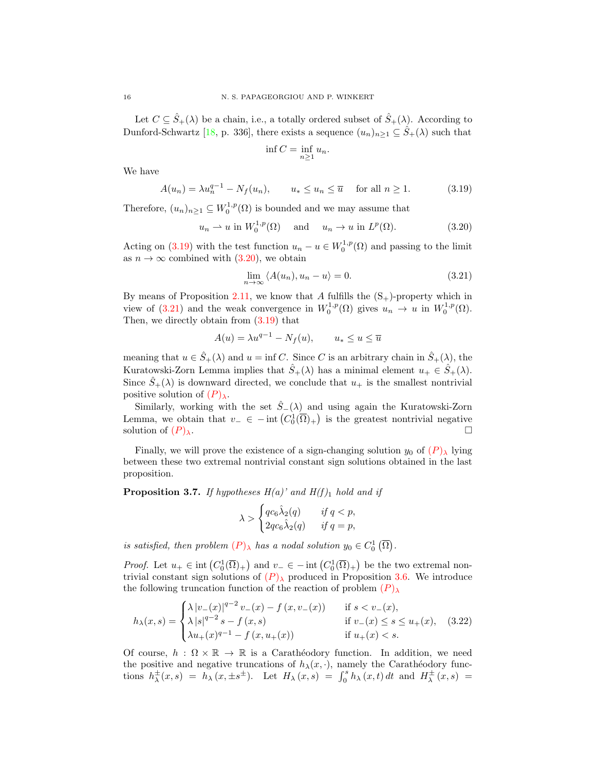Let  $C \subseteq \hat{S}_+(\lambda)$  be a chain, i.e., a totally ordered subset of  $\hat{S}_+(\lambda)$ . According to Dunford-Schwartz [\[18,](#page-24-24) p. 336], there exists a sequence  $(u_n)_{n\geq 1} \subseteq \hat{S}_+(\lambda)$  such that

<span id="page-15-1"></span><span id="page-15-0"></span>
$$
\inf C = \inf_{n \ge 1} u_n.
$$

We have

$$
A(u_n) = \lambda u_n^{q-1} - N_f(u_n), \qquad u_* \le u_n \le \overline{u} \quad \text{for all } n \ge 1.
$$
 (3.19)

Therefore,  $(u_n)_{n\geq 1} \subseteq W_0^{1,p}(\Omega)$  is bounded and we may assume that

$$
u_n \rightharpoonup u \text{ in } W_0^{1,p}(\Omega) \quad \text{ and } \quad u_n \to u \text{ in } L^p(\Omega). \tag{3.20}
$$

Acting on [\(3.19\)](#page-15-0) with the test function  $u_n - u \in W_0^{1,p}(\Omega)$  and passing to the limit as  $n \to \infty$  combined with  $(3.20)$ , we obtain

<span id="page-15-2"></span>
$$
\lim_{n \to \infty} \langle A(u_n), u_n - u \rangle = 0. \tag{3.21}
$$

By means of Proposition [2.11,](#page-5-2) we know that A fulfills the  $(S_+)$ -property which in view of [\(3.21\)](#page-15-2) and the weak convergence in  $W_0^{1,p}(\Omega)$  gives  $u_n \to u$  in  $W_0^{1,p}(\Omega)$ . Then, we directly obtain from [\(3.19\)](#page-15-0) that

$$
A(u) = \lambda u^{q-1} - N_f(u), \qquad u_* \le u \le \overline{u}
$$

meaning that  $u \in \hat{S}_+(\lambda)$  and  $u = \inf C$ . Since C is an arbitrary chain in  $\hat{S}_+(\lambda)$ , the Kuratowski-Zorn Lemma implies that  $\hat{S}_+(\lambda)$  has a minimal element  $u_+ \in \hat{S}_+(\lambda)$ . Since  $\hat{S}_+(\lambda)$  is downward directed, we conclude that  $u_+$  is the smallest nontrivial positive solution of  $(P)_{\lambda}$  $(P)_{\lambda}$  $(P)_{\lambda}$ .

Similarly, working with the set  $\hat{S}_-(\lambda)$  and using again the Kuratowski-Zorn Lemma, we obtain that  $v_-\in -\text{int}\left(C_0^1(\overline{\Omega})_+\right)$  is the greatest nontrivial negative solution of  $(P)_{\lambda}$  $(P)_{\lambda}$  $(P)_{\lambda}$ .

Finally, we will prove the existence of a sign-changing solution  $y_0$  of  $(P)$  $(P)$  $(P)$ <sup>l</sup><sub> $\lambda$ </sub> lying between these two extremal nontrivial constant sign solutions obtained in the last proposition.

<span id="page-15-4"></span>**Proposition 3.7.** If hypotheses  $H(a)$ ' and  $H(f)_1$  hold and if

<span id="page-15-3"></span>
$$
\lambda > \begin{cases} qc_6\hat{\lambda}_2(q) & \text{if } q < p, \\ 2qc_6\hat{\lambda}_2(q) & \text{if } q = p, \end{cases}
$$

is satisfied, then problem  $(P)_{\lambda}$  $(P)_{\lambda}$  $(P)_{\lambda}$  has a nodal solution  $y_0 \in C_0^1(\overline{\Omega})$ .

*Proof.* Let  $u_+ \in \text{int}\left(C_0^1(\overline{\Omega})_+\right)$  and  $v_- \in -\text{int}\left(C_0^1(\overline{\Omega})_+\right)$  be the two extremal nontrivial constant sign solutions of  $(P)_{\lambda}$  $(P)_{\lambda}$  $(P)_{\lambda}$  produced in Proposition [3.6.](#page-13-2) We introduce the following truncation function of the reaction of problem  $(P)_{\lambda}$  $(P)_{\lambda}$  $(P)_{\lambda}$ 

$$
h_{\lambda}(x,s) = \begin{cases} \lambda |v_{-}(x)|^{q-2} v_{-}(x) - f(x, v_{-}(x)) & \text{if } s < v_{-}(x), \\ \lambda |s|^{q-2} s - f(x,s) & \text{if } v_{-}(x) \le s \le u_{+}(x), \\ \lambda u_{+}(x)^{q-1} - f(x, u_{+}(x)) & \text{if } u_{+}(x) < s. \end{cases}
$$
(3.22)

Of course,  $h : \Omega \times \mathbb{R} \to \mathbb{R}$  is a Carathéodory function. In addition, we need the positive and negative truncations of  $h_{\lambda}(x, \cdot)$ , namely the Carathéodory functions  $h^{\pm}_{\lambda}(x,s) = h^{\pm}_{\lambda}(x,\pm s^{\pm})$ . Let  $H_{\lambda}(x,s) = \int_0^s h^{\lambda}_{\lambda}(x,t) dt$  and  $H^{\pm}_{\lambda}(x,s) =$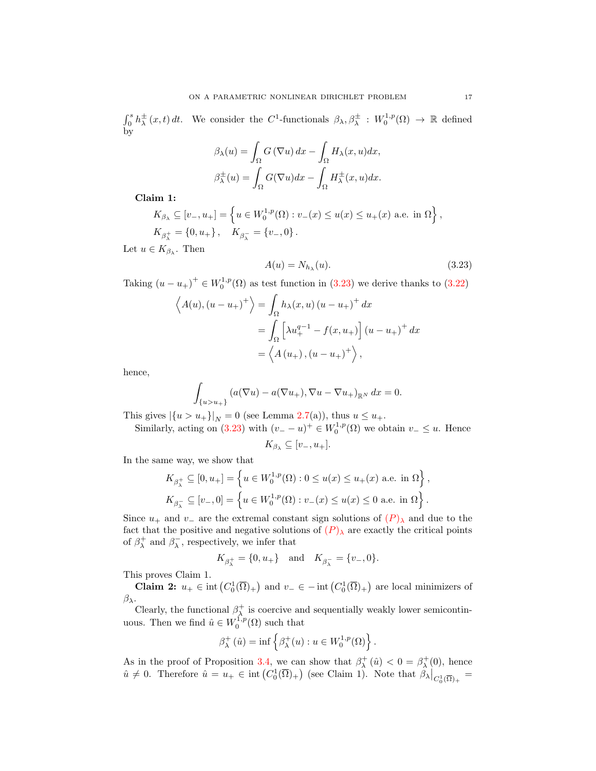$\int_0^s h^{\pm}_{\lambda}(x,t) dt$ . We consider the C<sup>1</sup>-functionals  $\beta_{\lambda}, \beta^{\pm}_{\lambda}: W_0^{1,p}(\Omega) \to \mathbb{R}$  defined by

$$
\beta_{\lambda}(u) = \int_{\Omega} G(\nabla u) dx - \int_{\Omega} H_{\lambda}(x, u) dx,
$$

$$
\beta_{\lambda}^{\pm}(u) = \int_{\Omega} G(\nabla u) dx - \int_{\Omega} H_{\lambda}^{\pm}(x, u) dx.
$$

Claim 1:

$$
K_{\beta_{\lambda}} \subseteq [v_{-}, u_{+}] = \left\{ u \in W_{0}^{1, p}(\Omega) : v_{-}(x) \le u(x) \le u_{+}(x) \text{ a.e. in } \Omega \right\},\
$$
  

$$
K_{\beta_{\lambda}^{+}} = \{0, u_{+}\}, \quad K_{\beta_{\lambda}^{-}} = \{v_{-}, 0\}.
$$

Let  $u \in K_{\beta_{\lambda}}$ . Then

<span id="page-16-0"></span>
$$
A(u) = N_{h_{\lambda}}(u). \tag{3.23}
$$

Taking  $(u - u_+)^\dagger \in W_0^{1,p}(\Omega)$  as test function in [\(3.23\)](#page-16-0) we derive thanks to [\(3.22\)](#page-15-3)

$$
\left\langle A(u), (u - u_+)^{+} \right\rangle = \int_{\Omega} h_{\lambda}(x, u) (u - u_+)^{+} dx
$$

$$
= \int_{\Omega} \left[ \lambda u_{+}^{q-1} - f(x, u_+) \right] (u - u_+)^{+} dx
$$

$$
= \left\langle A(u_+), (u - u_+)^{+} \right\rangle,
$$

hence,

$$
\int_{\{u>u_+\}} (a(\nabla u)-a(\nabla u_+), \nabla u-\nabla u_+)_{{\mathbb R}^N} dx=0.
$$

This gives  $|\{u > u_+\}|_N = 0$  (see Lemma [2.7\(](#page-3-0)a)), thus  $u \le u_+$ .

Similarly, acting on [\(3.23\)](#page-16-0) with  $(v_ - - u)^+ \in W_0^{1,p}(\Omega)$  we obtain  $v_- \le u$ . Hence

$$
K_{\beta_{\lambda}} \subseteq [v_-, u_+].
$$

In the same way, we show that

$$
K_{\beta_{\lambda}^{+}} \subseteq [0, u_{+}] = \left\{ u \in W_{0}^{1, p}(\Omega) : 0 \le u(x) \le u_{+}(x) \text{ a.e. in } \Omega \right\},\
$$
  

$$
K_{\beta_{\lambda}^{-}} \subseteq [v_{-}, 0] = \left\{ u \in W_{0}^{1, p}(\Omega) : v_{-}(x) \le u(x) \le 0 \text{ a.e. in } \Omega \right\}.
$$

Since  $u_+$  and  $v_-$  are the extremal constant sign solutions of  $(P)_{\lambda}$  $(P)_{\lambda}$  $(P)_{\lambda}$  and due to the fact that the positive and negative solutions of  $(P)_{\lambda}$  $(P)_{\lambda}$  $(P)_{\lambda}$  are exactly the critical points of  $\beta_{\lambda}^{+}$  and  $\beta_{\lambda}^{-}$ , respectively, we infer that

$$
K_{\beta_\lambda^+} = \{0, u_+\} \quad \text{and} \quad K_{\beta_\lambda^-} = \{v_-, 0\}.
$$

This proves Claim 1.

**Claim 2:**  $u_+ \in \text{int}\left(C_0^1(\overline{\Omega})_+\right)$  and  $v_- \in -\text{int}\left(C_0^1(\overline{\Omega})_+\right)$  are local minimizers of  $β<sub>λ</sub>$ .

Clearly, the functional  $\beta_{\lambda}^{+}$  is coercive and sequentially weakly lower semicontinuous. Then we find  $\hat{u} \in W_0^{1,p}(\Omega)$  such that

$$
\beta_{\lambda}^{+}(\hat{u}) = \inf \left\{ \beta_{\lambda}^{+}(u) : u \in W_0^{1,p}(\Omega) \right\}.
$$

As in the proof of Proposition [3.4,](#page-9-3) we can show that  $\beta^+_\lambda(\hat{u}) < 0 = \beta^+_\lambda(0)$ , hence  $\hat{u} \neq 0$ . Therefore  $\hat{u} = u_+ \in \text{int}\left(C_0^1(\overline{\Omega})_+\right)$  (see Claim 1). Note that  $\beta_{\lambda}|_{C_0^1(\overline{\Omega})_+} =$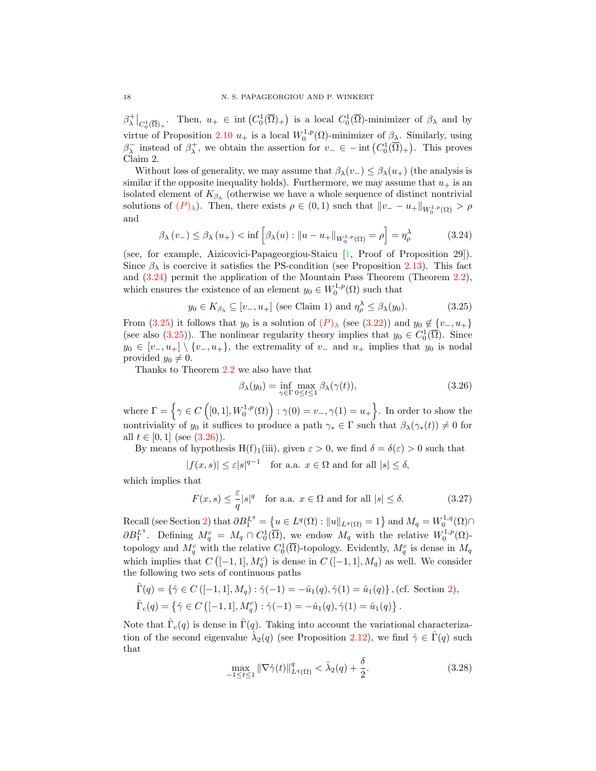$\beta_\lambda^+|_{C_0^1(\overline{\Omega})_+}$ . Then,  $u_+ \in \text{int}(C_0^1(\overline{\Omega})_+)$  is a local  $C_0^1(\overline{\Omega})$ -minimizer of  $\beta_\lambda$  and by virtue of Proposition [2.10](#page-4-1)  $u_+$  is a local  $W_0^{1,p}(\Omega)$ -minimizer of  $\beta_\lambda$ . Similarly, using  $\beta_{\lambda}^-$  instead of  $\beta_{\lambda}^+$ , we obtain the assertion for  $v_-\in$  - int  $(C_0^1(\overline{\Omega})_+)$ . This proves Claim 2.

Without loss of generality, we may assume that  $\beta_{\lambda}(v_{-}) \leq \beta_{\lambda}(u_{+})$  (the analysis is similar if the opposite inequality holds). Furthermore, we may assume that  $u_+$  is an isolated element of  $K_{\beta_{\lambda}}$  (otherwise we have a whole sequence of distinct nontrivial solutions of  $(P)_{\lambda}$  $(P)_{\lambda}$  $(P)_{\lambda}$ ). Then, there exists  $\rho \in (0,1)$  such that  $||v_--u_+||_{W_0^{1,p}(\Omega)} > \rho$ and

$$
\beta_{\lambda}(v_{-}) \leq \beta_{\lambda}(u_{+}) < \inf \left[ \beta_{\lambda}(u) : \|u - u_{+}\|_{W_{0}^{1,p}(\Omega)} = \rho \right] = \eta_{\rho}^{\lambda}
$$
 (3.24)

(see, for example, Aizicovici-Papageorgiou-Staicu [\[1,](#page-23-6) Proof of Proposition 29]). Since  $\beta_{\lambda}$  is coercive it satisfies the PS-condition (see Proposition [2.13\)](#page-7-3). This fact and [\(3.24\)](#page-17-0) permit the application of the Mountain Pass Theorem (Theorem [2.2\)](#page-1-1), which ensures the existence of an element  $y_0 \in W_0^{1,p}(\Omega)$  such that

$$
y_0 \in K_{\beta_\lambda} \subseteq [v_-, u_+]
$$
 (see Claim 1) and  $\eta_\rho^\lambda \le \beta_\lambda(y_0)$ . (3.25)

From [\(3.25\)](#page-17-1) it follows that  $y_0$  is a solution of  $(P)_{\lambda}$  $(P)_{\lambda}$  $(P)_{\lambda}$  (see [\(3.22\)](#page-15-3)) and  $y_0 \notin \{v_-, u_+\}$ (see also [\(3.25\)](#page-17-1)). The nonlinear regularity theory implies that  $y_0 \in C_0^1(\overline{\Omega})$ . Since  $y_0 \in [v_-, u_+] \setminus \{v_-, u_+\}$ , the extremality of  $v_-$  and  $u_+$  implies that  $y_0$  is nodal provided  $y_0 \neq 0$ .

Thanks to Theorem [2.2](#page-1-1) we also have that

<span id="page-17-4"></span><span id="page-17-2"></span><span id="page-17-1"></span><span id="page-17-0"></span>
$$
\beta_{\lambda}(y_0) = \inf_{\gamma \in \Gamma} \max_{0 \le t \le 1} \beta_{\lambda}(\gamma(t)),\tag{3.26}
$$

where  $\Gamma = \left\{ \gamma \in C\left([0,1], W_0^{1,p}(\Omega)\right) : \gamma(0) = v_-, \gamma(1) = u_+ \right\}$ . In order to show the nontriviality of  $y_0$  it suffices to produce a path  $\gamma_* \in \Gamma$  such that  $\beta_\lambda(\gamma_*(t)) \neq 0$  for all  $t \in [0,1]$  (see  $(3.26)$ ).

By means of hypothesis H(f)<sub>1</sub>(iii), given  $\varepsilon > 0$ , we find  $\delta = \delta(\varepsilon) > 0$  such that

 $|f(x, s)| \leq \varepsilon |s|^{q-1}$  for a.a.  $x \in \Omega$  and for all  $|s| \leq \delta$ ,

which implies that

$$
F(x,s) \le \frac{\varepsilon}{q} |s|^q \quad \text{for a.a. } x \in \Omega \text{ and for all } |s| \le \delta. \tag{3.27}
$$

Recall (see Section [2\)](#page-1-0) that  $\partial B_1^{L^q} = \{ u \in L^q(\Omega) : ||u||_{L^q(\Omega)} = 1 \}$  and  $M_q = W_0^{1,q}(\Omega) \cap$  $\partial B_1^{L^q}$ . Defining  $M_q^c = M_q \cap C_0^1(\overline{\Omega})$ , we endow  $M_q$  with the relative  $W_0^{1,p}(\Omega)$ topology and  $M_q^c$  with the relative  $C_0^1(\overline{\Omega})$ -topology. Evidently,  $M_q^c$  is dense in  $M_q$ which implies that  $C([-1,1], M_q^c)$  is dense in  $C([-1,1], M_q)$  as well. We consider the following two sets of continuous paths

$$
\hat{\Gamma}(q) = \{ \hat{\gamma} \in C \left( [-1, 1], M_q \right) : \hat{\gamma}(-1) = -\hat{u}_1(q), \hat{\gamma}(1) = \hat{u}_1(q) \}, \text{(cf. Section 2)},
$$
\n
$$
\hat{\Gamma}_c(q) = \{ \hat{\gamma} \in C \left( [-1, 1], M_q^c \right) : \hat{\gamma}(-1) = -\hat{u}_1(q), \hat{\gamma}(1) = \hat{u}_1(q) \}.
$$

Note that  $\hat{\Gamma}_c(q)$  is dense in  $\hat{\Gamma}(q)$ . Taking into account the variational characterization of the second eigenvalue  $\hat{\lambda}_2(q)$  (see Proposition [2.12\)](#page-6-0), we find  $\hat{\gamma} \in \hat{\Gamma}(q)$  such that

<span id="page-17-3"></span>
$$
\max_{-1 \le t \le 1} \|\nabla \hat{\gamma}(t)\|_{L^q(\Omega)}^q < \hat{\lambda}_2(q) + \frac{\delta}{2}.\tag{3.28}
$$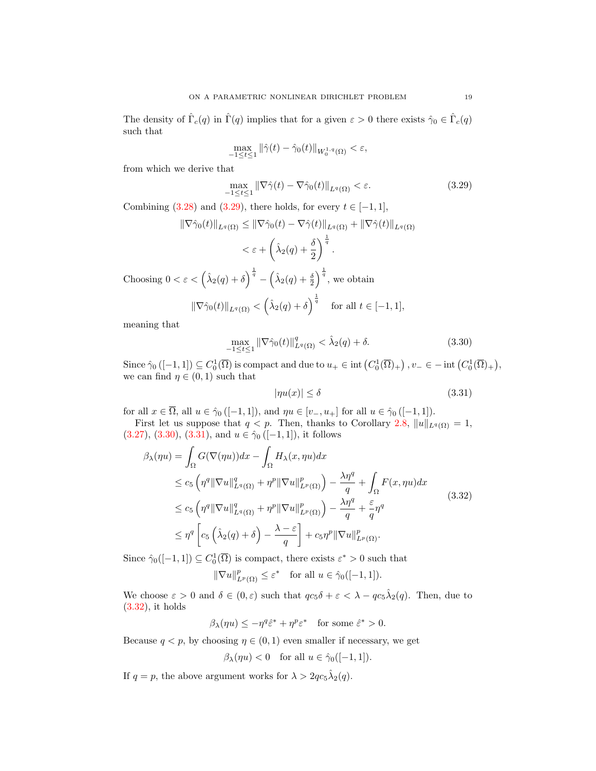The density of  $\hat{\Gamma}_c(q)$  in  $\hat{\Gamma}(q)$  implies that for a given  $\varepsilon > 0$  there exists  $\hat{\gamma}_0 \in \hat{\Gamma}_c(q)$ such that

<span id="page-18-0"></span>
$$
\max_{-1\leq t\leq 1} \|\hat{\gamma}(t)-\hat{\gamma}_0(t)\|_{W_0^{1,q}(\Omega)} < \varepsilon,
$$

from which we derive that

$$
\max_{-1 \le t \le 1} \|\nabla \hat{\gamma}(t) - \nabla \hat{\gamma}_0(t)\|_{L^q(\Omega)} < \varepsilon. \tag{3.29}
$$

Combining [\(3.28\)](#page-17-3) and [\(3.29\)](#page-18-0), there holds, for every  $t \in [-1,1]$ ,

$$
\|\nabla \hat{\gamma}_0(t)\|_{L^q(\Omega)} \le \|\nabla \hat{\gamma}_0(t) - \nabla \hat{\gamma}(t)\|_{L^q(\Omega)} + \|\nabla \hat{\gamma}(t)\|_{L^q(\Omega)}
$$
  

$$
< \varepsilon + \left(\hat{\lambda}_2(q) + \frac{\delta}{2}\right)^{\frac{1}{q}}.
$$

Choosing  $0 < \varepsilon < (\hat{\lambda}_2(q) + \delta)^{\frac{1}{q}} - (\hat{\lambda}_2(q) + \frac{\delta}{2})^{\frac{1}{q}}$ , we obtain

$$
\|\nabla \hat{\gamma}_0(t)\|_{L^q(\Omega)} < \left(\hat{\lambda}_2(q) + \delta\right)^{\frac{1}{q}} \quad \text{for all } t \in [-1, 1],
$$

meaning that

$$
\max_{-1 \le t \le 1} \|\nabla \hat{\gamma}_0(t)\|_{L^q(\Omega)}^q < \hat{\lambda}_2(q) + \delta. \tag{3.30}
$$

Since  $\hat{\gamma}_0$  ([-1, 1])  $\subseteq C_0^1(\overline{\Omega})$  is compact and due to  $u_+ \in \text{int}\left(C_0^1(\overline{\Omega})_+\right), v_- \in -\text{int}\left(C_0^1(\overline{\Omega})_+\right),$ we can find  $\eta \in (0,1)$  such that

<span id="page-18-3"></span><span id="page-18-2"></span><span id="page-18-1"></span>
$$
|\eta u(x)| \le \delta \tag{3.31}
$$

for all  $x \in \overline{\Omega}$ , all  $u \in \hat{\gamma}_0([-1, 1])$ , and  $\eta u \in [v_-, u_+]$  for all  $u \in \hat{\gamma}_0([-1, 1])$ .

First let us suppose that  $q < p$ . Then, thanks to Corollary [2.8,](#page-3-1)  $||u||_{L^q(\Omega)} = 1$ ,  $(3.27), (3.30), (3.31), \text{ and } u \in \hat{\gamma}_0 \left([-1, 1]\right)$  $(3.27), (3.30), (3.31), \text{ and } u \in \hat{\gamma}_0 \left([-1, 1]\right)$  $(3.27), (3.30), (3.31), \text{ and } u \in \hat{\gamma}_0 \left([-1, 1]\right)$  $(3.27), (3.30), (3.31), \text{ and } u \in \hat{\gamma}_0 \left([-1, 1]\right)$  $(3.27), (3.30), (3.31), \text{ and } u \in \hat{\gamma}_0 \left([-1, 1]\right)$  $(3.27), (3.30), (3.31), \text{ and } u \in \hat{\gamma}_0 \left([-1, 1]\right)$ , it follows

$$
\beta_{\lambda}(\eta u) = \int_{\Omega} G(\nabla(\eta u)) dx - \int_{\Omega} H_{\lambda}(x, \eta u) dx
$$
  
\n
$$
\leq c_5 \left( \eta^q \|\nabla u\|_{L^q(\Omega)}^q + \eta^p \|\nabla u\|_{L^p(\Omega)}^p \right) - \frac{\lambda \eta^q}{q} + \int_{\Omega} F(x, \eta u) dx
$$
  
\n
$$
\leq c_5 \left( \eta^q \|\nabla u\|_{L^q(\Omega)}^q + \eta^p \|\nabla u\|_{L^p(\Omega)}^p \right) - \frac{\lambda \eta^q}{q} + \frac{\varepsilon}{q} \eta^q
$$
  
\n
$$
\leq \eta^q \left[ c_5 \left( \hat{\lambda}_2(q) + \delta \right) - \frac{\lambda - \varepsilon}{q} \right] + c_5 \eta^p \|\nabla u\|_{L^p(\Omega)}^p.
$$
\n(3.32)

Since  $\hat{\gamma}_0([-1,1]) \subseteq C_0^1(\overline{\Omega})$  is compact, there exists  $\varepsilon^* > 0$  such that

$$
\|\nabla u\|_{L^p(\Omega)}^p \le \varepsilon^* \quad \text{for all } u \in \hat{\gamma}_0([-1, 1]).
$$

We choose  $\varepsilon > 0$  and  $\delta \in (0, \varepsilon)$  such that  $qc_5\delta + \varepsilon < \lambda - qc_5\hat{\lambda}_2(q)$ . Then, due to [\(3.32\)](#page-18-3), it holds

$$
\beta_{\lambda}(\eta u) \le -\eta^{q} \hat{\varepsilon}^{*} + \eta^{p} \varepsilon^{*} \quad \text{for some } \hat{\varepsilon}^{*} > 0.
$$

Because  $q < p$ , by choosing  $\eta \in (0, 1)$  even smaller if necessary, we get

$$
\beta_{\lambda}(\eta u) < 0 \quad \text{for all } u \in \hat{\gamma}_0([-1, 1]).
$$

If  $q = p$ , the above argument works for  $\lambda > 2qc_5\lambda_2(q)$ .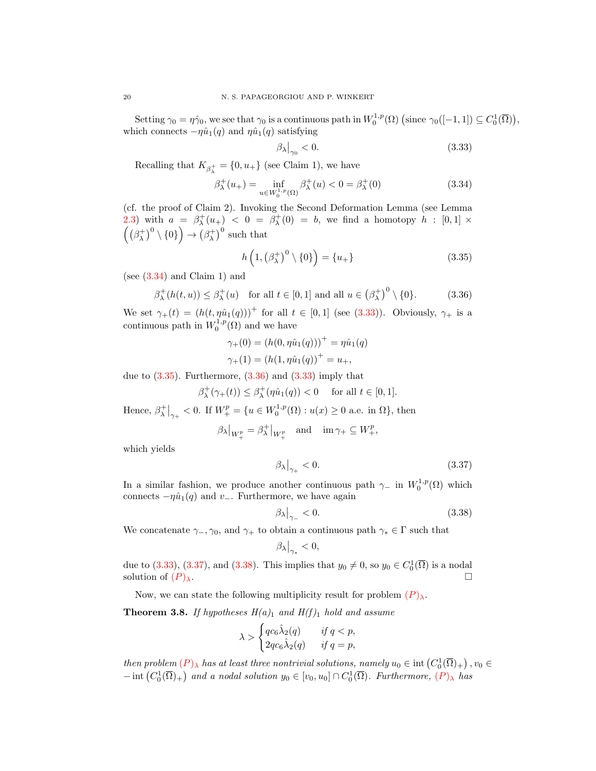Setting  $\gamma_0 = \eta \hat{\gamma}_0$ , we see that  $\gamma_0$  is a continuous path in  $W_0^{1,p}(\Omega)$  (since  $\gamma_0([-1,1]) \subseteq C_0^1(\overline{\Omega})$ ), which connects  $-\eta \hat{u}_1(q)$  and  $\eta \hat{u}_1(q)$  satisfying

<span id="page-19-2"></span><span id="page-19-1"></span><span id="page-19-0"></span>
$$
\left.\beta_{\lambda}\right|_{\gamma_0} < 0. \tag{3.33}
$$

Recalling that  $K_{\beta_{\lambda}^{+}} = \{0, u_{+}\}\$  (see Claim 1), we have

$$
\beta_{\lambda}^{+}(u_{+}) = \inf_{u \in W_{0}^{1,p}(\Omega)} \beta_{\lambda}^{+}(u) < 0 = \beta_{\lambda}^{+}(0) \tag{3.34}
$$

(cf. the proof of Claim 2). Invoking the Second Deformation Lemma (see Lemma [2.3\)](#page-2-0) with  $a = \beta_{\lambda}^+(u_+) < 0 = \beta_{\lambda}^+(0) = b$ , we find a homotopy  $h : [0,1] \times$  $((\beta_{\lambda}^+)^0 \setminus \{0\}) \to (\beta_{\lambda}^+)^0$  such that

<span id="page-19-3"></span>
$$
h\left(1, \left(\beta_{\lambda}^{+}\right)^{0} \setminus \{0\}\right) = \{u_{+}\}\tag{3.35}
$$

(see [\(3.34\)](#page-19-0) and Claim 1) and

$$
\beta_{\lambda}^+(h(t,u)) \le \beta_{\lambda}^+(u) \quad \text{for all } t \in [0,1] \text{ and all } u \in (\beta_{\lambda}^+)^0 \setminus \{0\}. \tag{3.36}
$$

We set  $\gamma_+(t) = (h(t, \eta \hat{u}_1(q)))^+$  for all  $t \in [0,1]$  (see [\(3.33\)](#page-19-1)). Obviously,  $\gamma_+$  is a continuous path in  $W_0^{1,p}(\Omega)$  and we have

$$
\gamma_{+}(0) = (h(0, \eta \hat{u}_{1}(q)))^{+} = \eta \hat{u}_{1}(q)
$$
  

$$
\gamma_{+}(1) = (h(1, \eta \hat{u}_{1}(q))^{+} = u_{+},
$$

due to  $(3.35)$ . Furthermore,  $(3.36)$  and  $(3.33)$  imply that

$$
\beta_\lambda^+(\gamma_+(t)) \le \beta_\lambda^+(\eta \hat{u}_1(q)) < 0 \quad \text{ for all } t \in [0,1].
$$

Hence,  $\beta_{\lambda}^{+}\big|_{\gamma_{+}}$  < 0. If  $W_{+}^{p} = \{u \in W_{0}^{1,p}(\Omega) : u(x) \ge 0$  a.e. in  $\Omega\}$ , then

$$
\beta_{\lambda}|_{W_{+}^{p}} = \beta_{\lambda}^{+}|_{W_{+}^{p}} \text{ and } \text{im } \gamma_{+} \subseteq W_{+}^{p},
$$

which yields

<span id="page-19-4"></span>
$$
\left.\beta_{\lambda}\right|_{\gamma_{+}}<0.\tag{3.37}
$$

In a similar fashion, we produce another continuous path  $\gamma_-\,$  in  $W_0^{1,p}(\Omega)$  which connects  $-\eta \hat{u}_1(q)$  and  $v_$ . Furthermore, we have again

<span id="page-19-5"></span>
$$
\left.\beta_{\lambda}\right|_{\gamma_{-}}<0.\tag{3.38}
$$

We concatenate  $\gamma_-, \gamma_0$ , and  $\gamma_+$  to obtain a continuous path  $\gamma_* \in \Gamma$  such that

$$
\left.\beta_\lambda\right|_{\gamma_*} < 0,
$$

due to [\(3.33\)](#page-19-1), [\(3.37\)](#page-19-4), and [\(3.38\)](#page-19-5). This implies that  $y_0 \neq 0$ , so  $y_0 \in C_0^1(\overline{\Omega})$  is a nodal solution of  $(P)_{\lambda}$  $(P)_{\lambda}$  $(P)_{\lambda}$ .

Now, we can state the following multiplicity result for problem  $(P)_{\lambda}$  $(P)_{\lambda}$  $(P)_{\lambda}$ .

<span id="page-19-6"></span>**Theorem 3.8.** If hypotheses  $H(a)_1$  and  $H(f)_1$  hold and assume

$$
\lambda > \begin{cases} qc_6\hat{\lambda}_2(q) & \text{if } q < p, \\ 2qc_6\hat{\lambda}_2(q) & \text{if } q = p, \end{cases}
$$

then problem  $(P)_{\lambda}$  $(P)_{\lambda}$  $(P)_{\lambda}$  has at least three nontrivial solutions, namely  $u_0 \in \text{int}\left(C_0^1(\overline{\Omega})_+\right)$ ,  $v_0 \in$  $-\text{int}\left(C_0^1(\overline{\Omega})_+\right)$  and a nodal solution  $y_0 \in [v_0, u_0] \cap C_0^1(\overline{\Omega})$ . Furthermore,  $(P)_{\lambda}$  $(P)_{\lambda}$  $(P)_{\lambda}$  has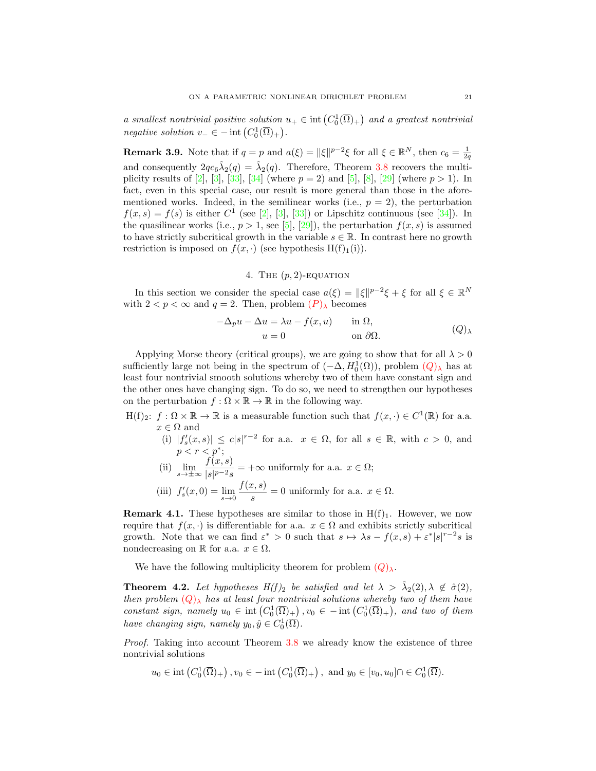a smallest nontrivial positive solution  $u_+ \in \text{int}\left(C_0^1(\overline{\Omega})_+\right)$  and a greatest nontrivial negative solution  $v_-\in$  - int  $(C_0^1(\overline{\Omega})_+)$ .

**Remark 3.9.** Note that if  $q = p$  and  $a(\xi) = ||\xi||^{p-2}\xi$  for all  $\xi \in \mathbb{R}^N$ , then  $c_6 = \frac{1}{2q}$ and consequently  $2qc_6\hat{\lambda}_2(q) = \hat{\lambda}_2(q)$ . Therefore, Theorem [3.8](#page-19-6) recovers the multi-plicity results of [\[2\]](#page-23-0), [\[3\]](#page-23-1), [\[33\]](#page-24-2), [\[34\]](#page-24-11) (where  $p = 2$ ) and [\[5\]](#page-23-2), [\[8\]](#page-23-7), [\[29\]](#page-24-3) (where  $p > 1$ ). In fact, even in this special case, our result is more general than those in the aforementioned works. Indeed, in the semilinear works (i.e.,  $p = 2$ ), the perturbation  $f(x,s) = f(s)$  is either  $C^1$  (see [\[2\]](#page-23-0), [\[3\]](#page-23-1), [\[33\]](#page-24-2)) or Lipschitz continuous (see [\[34\]](#page-24-11)). In the quasilinear works (i.e.,  $p > 1$ , see [\[5\]](#page-23-2), [\[29\]](#page-24-3)), the perturbation  $f(x, s)$  is assumed to have strictly subcritical growth in the variable  $s \in \mathbb{R}$ . In contrast here no growth restriction is imposed on  $f(x, \cdot)$  (see hypothesis H(f)<sub>1</sub>(i)).

<span id="page-20-0"></span>4. THE  $(p, 2)$ -EQUATION

In this section we consider the special case  $a(\xi) = ||\xi||^{p-2}\xi + \xi$  for all  $\xi \in \mathbb{R}^N$ with  $2 < p < \infty$  and  $q = 2$ . Then, problem  $(P)_{\lambda}$  $(P)_{\lambda}$  $(P)_{\lambda}$  becomes

<span id="page-20-2"></span>
$$
-\Delta_p u - \Delta u = \lambda u - f(x, u) \quad \text{in } \Omega,
$$
  

$$
u = 0 \quad \text{on } \partial\Omega.
$$
 (Q)

Applying Morse theory (critical groups), we are going to show that for all  $\lambda > 0$ sufficiently large not being in the spectrum of  $(-\Delta, H_0^1(\Omega))$ , problem  $(Q)_{\lambda}$  $(Q)_{\lambda}$  $(Q)_{\lambda}$  has at least four nontrivial smooth solutions whereby two of them have constant sign and the other ones have changing sign. To do so, we need to strengthen our hypotheses on the perturbation  $f : \Omega \times \mathbb{R} \to \mathbb{R}$  in the following way.

- $H(f)_2$ :  $f: \Omega \times \mathbb{R} \to \mathbb{R}$  is a measurable function such that  $f(x, \cdot) \in C^1(\mathbb{R})$  for a.a.  $x \in \Omega$  and
	- (i)  $|f'_s(x,s)| \leq c|s|^{r-2}$  for a.a.  $x \in \Omega$ , for all  $s \in \mathbb{R}$ , with  $c > 0$ , and  $p < r < p^*$ ;
	- (ii)  $\lim_{s \to \pm \infty} \frac{f(x, s)}{|s|^{p-2} s}$  $\frac{\partial f(x, y)}{\partial s} = +\infty$  uniformly for a.a.  $x \in \Omega$ ;
	- (iii)  $f'_s(x,0) = \lim_{s \to 0} \frac{f(x,s)}{s}$  $\frac{\partial g(s)}{\partial s} = 0$  uniformly for a.a.  $x \in \Omega$ .

<span id="page-20-1"></span>**Remark 4.1.** These hypotheses are similar to those in  $H(f)_1$ . However, we now require that  $f(x, \cdot)$  is differentiable for a.a.  $x \in \Omega$  and exhibits strictly subcritical growth. Note that we can find  $\varepsilon^* > 0$  such that  $s \mapsto \lambda s - f(x, s) + \varepsilon^* |s|^{r-2} s$  is nondecreasing on R for a.a.  $x \in \Omega$ .

We have the following multiplicity theorem for problem  $(Q)_{\lambda}$  $(Q)_{\lambda}$  $(Q)_{\lambda}$ .

**Theorem 4.2.** Let hypotheses  $H(f)_2$  be satisfied and let  $\lambda > \hat{\lambda}_2(2), \lambda \notin \hat{\sigma}(2)$ , then problem  $(Q)_{\lambda}$  $(Q)_{\lambda}$  $(Q)_{\lambda}$  has at least four nontrivial solutions whereby two of them have constant sign, namely  $u_0 \in \text{int}\left(C_0^1(\overline{\Omega})_+\right)$ ,  $v_0 \in -\text{int}\left(C_0^1(\overline{\Omega})_+\right)$ , and two of them have changing sign, namely  $y_0, \hat{y} \in C_0^1(\overline{\Omega})$ .

Proof. Taking into account Theorem [3.8](#page-19-6) we already know the existence of three nontrivial solutions

$$
u_0 \in \text{int}\left(C_0^1(\overline{\Omega})_+\right), v_0 \in -\text{int}\left(C_0^1(\overline{\Omega})_+\right), \text{ and } y_0 \in [v_0, u_0] \cap \in C_0^1(\overline{\Omega}).
$$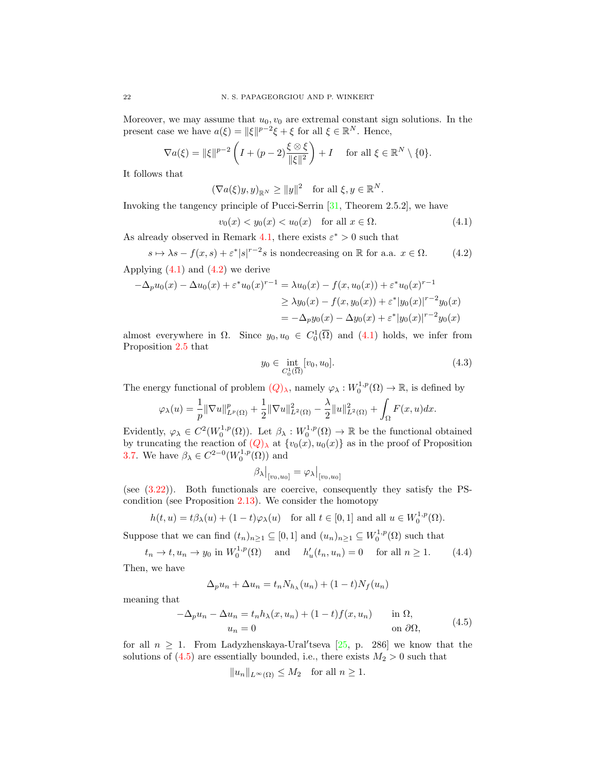Moreover, we may assume that  $u_0, v_0$  are extremal constant sign solutions. In the present case we have  $a(\xi) = ||\xi||^{p-2}\xi + \xi$  for all  $\xi \in \mathbb{R}^N$ . Hence,

$$
\nabla a(\xi) = \|\xi\|^{p-2} \left( I + (p-2) \frac{\xi \otimes \xi}{\|\xi\|^2} \right) + I \quad \text{for all } \xi \in \mathbb{R}^N \setminus \{0\}.
$$

It follows that

$$
(\nabla a(\xi)y, y)_{\mathbb{R}^N} \ge ||y||^2 \text{ for all } \xi, y \in \mathbb{R}^N.
$$

Invoking the tangency principle of Pucci-Serrin [\[31,](#page-24-21) Theorem 2.5.2], we have

$$
v_0(x) < y_0(x) < u_0(x) \quad \text{for all } x \in \Omega. \tag{4.1}
$$

As already observed in Remark [4.1,](#page-20-1) there exists  $\varepsilon^* > 0$  such that

 $s \mapsto \lambda s - f(x, s) + \varepsilon^* |s|^{r-2} s$  is nondecreasing on R for a.a.  $x \in \Omega$ . (4.2) Applying  $(4.1)$  and  $(4.2)$  we derive

$$
-\Delta_p u_0(x) - \Delta u_0(x) + \varepsilon^* u_0(x)^{r-1} = \lambda u_0(x) - f(x, u_0(x)) + \varepsilon^* u_0(x)^{r-1}
$$
  
\n
$$
\geq \lambda y_0(x) - f(x, y_0(x)) + \varepsilon^* |y_0(x)|^{r-2} y_0(x)
$$
  
\n
$$
= -\Delta_p y_0(x) - \Delta y_0(x) + \varepsilon^* |y_0(x)|^{r-2} y_0(x)
$$

almost everywhere in  $\Omega$ . Since  $y_0, u_0 \in C_0^1(\overline{\Omega})$  and  $(4.1)$  holds, we infer from Proposition [2.5](#page-2-2) that

<span id="page-21-3"></span><span id="page-21-0"></span>
$$
y_0 \in \inf_{C_0^1(\overline{\Omega})} [v_0, u_0]. \tag{4.3}
$$

The energy functional of problem  $(Q)_{\lambda}$  $(Q)_{\lambda}$  $(Q)_{\lambda}$ , namely  $\varphi_{\lambda}: W_0^{1,p}(\Omega) \to \mathbb{R}$ , is defined by

$$
\varphi_{\lambda}(u) = \frac{1}{p} \|\nabla u\|_{L^{p}(\Omega)}^{p} + \frac{1}{2} \|\nabla u\|_{L^{2}(\Omega)}^{2} - \frac{\lambda}{2} \|u\|_{L^{2}(\Omega)}^{2} + \int_{\Omega} F(x, u) dx.
$$

Evidently,  $\varphi_{\lambda} \in C^2(W_0^{1,p}(\Omega))$ . Let  $\beta_{\lambda}: W_0^{1,p}(\Omega) \to \mathbb{R}$  be the functional obtained by truncating the reaction of  $(Q)_{\lambda}$  $(Q)_{\lambda}$  $(Q)_{\lambda}$  at  $\{v_0(x), u_0(x)\}\)$  as in the proof of Proposition [3.7.](#page-15-4) We have  $\beta_{\lambda} \in C^{2-0}(W_0^{1,p}(\Omega))$  and

<span id="page-21-2"></span>
$$
\beta_\lambda|_{[v_0, u_0]} = \varphi_\lambda|_{[v_0, u_0]}
$$

(see [\(3.22\)](#page-15-3)). Both functionals are coercive, consequently they satisfy the PScondition (see Proposition [2.13\)](#page-7-3). We consider the homotopy

$$
h(t, u) = t\beta_{\lambda}(u) + (1 - t)\varphi_{\lambda}(u) \quad \text{for all } t \in [0, 1] \text{ and all } u \in W_0^{1, p}(\Omega).
$$

Suppose that we can find  $(t_n)_{n\geq 1} \subseteq [0,1]$  and  $(u_n)_{n\geq 1} \subseteq W_0^{1,p}(\Omega)$  such that

 $t_n \to t, u_n \to y_0$  in  $W_0^{1,p}(\Omega)$  and  $h'_u(t_n, u_n) = 0$  for all  $n \ge 1$ . (4.4)

Then, we have

$$
\Delta_p u_n + \Delta u_n = t_n N_{h_\lambda}(u_n) + (1-t)N_f(u_n)
$$

meaning that

<span id="page-21-1"></span>
$$
-\Delta_p u_n - \Delta u_n = t_n h_\lambda(x, u_n) + (1 - t) f(x, u_n) \quad \text{in } \Omega,
$$
  
\n
$$
u_n = 0 \quad \text{on } \partial\Omega,
$$
\n(4.5)

for all  $n \geq 1$ . From Ladyzhenskaya-Ural'tseva [\[25,](#page-24-16) p. 286] we know that the solutions of  $(4.5)$  are essentially bounded, i.e., there exists  $M_2 > 0$  such that

$$
||u_n||_{L^{\infty}(\Omega)} \leq M_2 \quad \text{for all } n \geq 1.
$$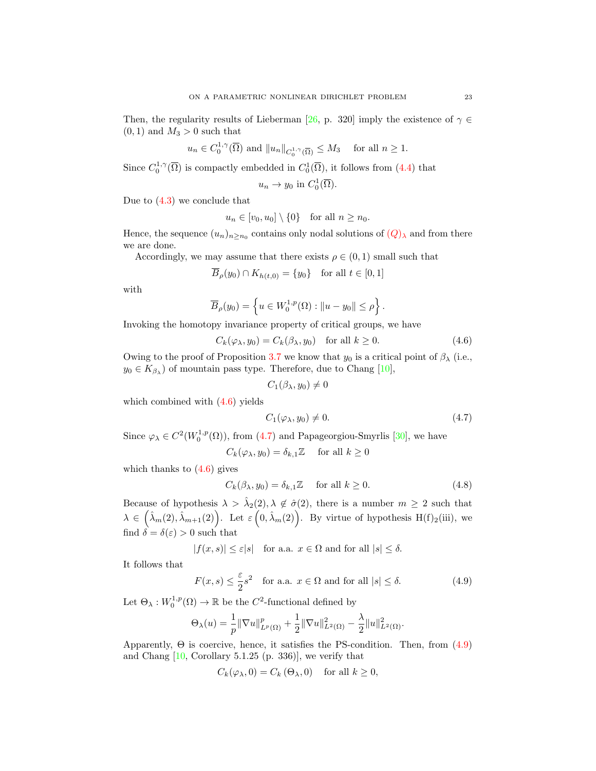Then, the regularity results of Lieberman [\[26,](#page-24-17) p. 320] imply the existence of  $\gamma \in$  $(0, 1)$  and  $M_3 > 0$  such that

$$
u_n \in C_0^{1,\gamma}(\overline{\Omega})
$$
 and  $||u_n||_{C_0^{1,\gamma}(\overline{\Omega})} \leq M_3$  for all  $n \geq 1$ .

Since  $C_0^{1,\gamma}(\overline{\Omega})$  is compactly embedded in  $C_0^1(\overline{\Omega})$ , it follows from [\(4.4\)](#page-21-2) that

$$
u_n \to y_0
$$
 in  $C_0^1(\overline{\Omega})$ .

Due to [\(4.3\)](#page-21-3) we conclude that

$$
u_n \in [v_0, u_0] \setminus \{0\} \quad \text{for all } n \ge n_0.
$$

Hence, the sequence  $(u_n)_{n \ge n_0}$  contains only nodal solutions of  $(Q)_{\lambda}$  $(Q)_{\lambda}$  $(Q)_{\lambda}$  and from there we are done.

Accordingly, we may assume that there exists  $\rho \in (0,1)$  small such that

$$
B_{\rho}(y_0) \cap K_{h(t,0)} = \{y_0\} \text{ for all } t \in [0,1]
$$

with

$$
\overline{B}_{\rho}(y_0) = \left\{ u \in W_0^{1,p}(\Omega) : ||u - y_0|| \le \rho \right\}.
$$

Invoking the homotopy invariance property of critical groups, we have

$$
C_k(\varphi_\lambda, y_0) = C_k(\beta_\lambda, y_0) \quad \text{for all } k \ge 0.
$$
 (4.6)

Owing to the proof of Proposition [3.7](#page-15-4) we know that  $y_0$  is a critical point of  $\beta_{\lambda}$  (i.e.,  $y_0 \in K_{\beta_\lambda}$  of mountain pass type. Therefore, due to Chang [\[10\]](#page-24-25),

<span id="page-22-1"></span><span id="page-22-0"></span>
$$
C_1(\beta_{\lambda},y_0)\neq 0
$$

which combined with [\(4.6\)](#page-22-0) yields

<span id="page-22-3"></span><span id="page-22-2"></span>
$$
C_1(\varphi_\lambda, y_0) \neq 0. \tag{4.7}
$$

Since  $\varphi_{\lambda} \in C^2(W_0^{1,p}(\Omega))$ , from [\(4.7\)](#page-22-1) and Papageorgiou-Smyrlis [\[30\]](#page-24-10), we have

 $C_k(\varphi_\lambda, y_0) = \delta_{k,1}\mathbb{Z}$  for all  $k \geq 0$ 

which thanks to  $(4.6)$  gives

$$
C_k(\beta_\lambda, y_0) = \delta_{k,1} \mathbb{Z} \quad \text{for all } k \ge 0.
$$
 (4.8)

Because of hypothesis  $\lambda > \hat{\lambda}_2(2), \lambda \notin \hat{\sigma}(2)$ , there is a number  $m \geq 2$  such that  $\lambda \in \left(\hat{\lambda}_m(2), \hat{\lambda}_{m+1}(2)\right)$ . Let  $\varepsilon\left(0, \hat{\lambda}_m(2)\right)$ . By virtue of hypothesis H(f)<sub>2</sub>(iii), we find  $\delta = \delta(\varepsilon) > 0$  such that

 $|f(x, s)| \leq \varepsilon |s|$  for a.a.  $x \in \Omega$  and for all  $|s| \leq \delta$ .

It follows that

$$
F(x,s) \le \frac{\varepsilon}{2}s^2 \quad \text{for a.a. } x \in \Omega \text{ and for all } |s| \le \delta. \tag{4.9}
$$

Let  $\Theta_{\lambda}: W_0^{1,p}(\Omega) \to \mathbb{R}$  be the  $C^2$ -functional defined by

$$
\Theta_{\lambda}(u) = \frac{1}{p} \|\nabla u\|_{L^{p}(\Omega)}^{p} + \frac{1}{2} \|\nabla u\|_{L^{2}(\Omega)}^{2} - \frac{\lambda}{2} \|u\|_{L^{2}(\Omega)}^{2}.
$$

Apparently,  $\Theta$  is coercive, hence, it satisfies the PS-condition. Then, from  $(4.9)$ and Chang  $[10,$  Corollary 5.1.25 (p. 336)], we verify that

$$
C_k(\varphi_\lambda, 0) = C_k(\Theta_\lambda, 0) \quad \text{for all } k \ge 0,
$$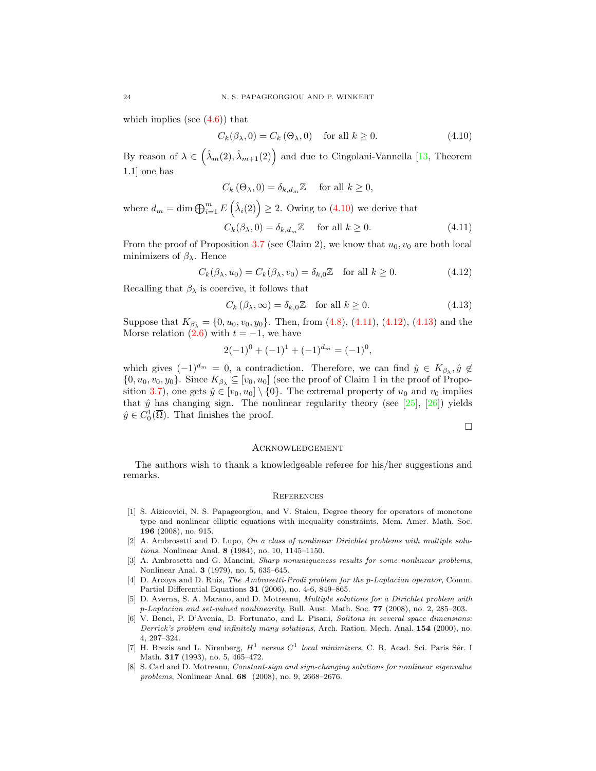which implies (see  $(4.6)$ ) that

<span id="page-23-8"></span>
$$
C_k(\beta_\lambda, 0) = C_k(\Theta_\lambda, 0) \quad \text{for all } k \ge 0.
$$
 (4.10)

By reason of  $\lambda \in \left(\hat{\lambda}_m(2), \hat{\lambda}_{m+1}(2)\right)$  and due to Cingolani-Vannella [\[13,](#page-24-26) Theorem 1.1] one has

$$
C_k(\Theta_\lambda, 0) = \delta_{k, d_m} \mathbb{Z} \quad \text{ for all } k \ge 0,
$$

where  $d_m = \dim \bigoplus_{i=1}^m E(\hat{\lambda}_i(2)) \geq 2$ . Owing to [\(4.10\)](#page-23-8) we derive that

$$
C_k(\beta_\lambda, 0) = \delta_{k, d_m} \mathbb{Z} \quad \text{ for all } k \ge 0.
$$
 (4.11)

From the proof of Proposition [3.7](#page-15-4) (see Claim 2), we know that  $u_0, v_0$  are both local minimizers of  $\beta_{\lambda}$ . Hence

$$
C_k(\beta_\lambda, u_0) = C_k(\beta_\lambda, v_0) = \delta_{k,0} \mathbb{Z} \quad \text{for all } k \ge 0.
$$
 (4.12)

Recalling that  $\beta_{\lambda}$  is coercive, it follows that

$$
C_k(\beta_\lambda, \infty) = \delta_{k,0}\mathbb{Z} \quad \text{for all } k \ge 0.
$$
 (4.13)

Suppose that  $K_{\beta_{\lambda}} = \{0, u_0, v_0, y_0\}$ . Then, from [\(4.8\)](#page-22-3), [\(4.11\)](#page-23-9), [\(4.12\)](#page-23-10), [\(4.13\)](#page-23-11) and the Morse relation  $(2.6)$  with  $t = -1$ , we have

$$
2(-1)^0 + (-1)^1 + (-1)^{d_m} = (-1)^0,
$$

which gives  $(-1)^{d_m} = 0$ , a contradiction. Therefore, we can find  $\hat{y} \in K_{\beta_\lambda}, \hat{y} \notin$  $\{0, u_0, v_0, y_0\}$ . Since  $K_{\beta_{\lambda}} \subseteq [v_0, u_0]$  (see the proof of Claim 1 in the proof of Propo-sition [3.7\)](#page-15-4), one gets  $\hat{y} \in [v_0, u_0] \setminus \{0\}$ . The extremal property of  $u_0$  and  $v_0$  implies that  $\hat{y}$  has changing sign. The nonlinear regularity theory (see [\[25\]](#page-24-16), [\[26\]](#page-24-17)) yields  $\hat{y} \in C_0^1(\overline{\Omega})$ . That finishes the proof.

<span id="page-23-11"></span><span id="page-23-10"></span><span id="page-23-9"></span>
$$
\qquad \qquad \Box
$$

#### **ACKNOWLEDGEMENT**

The authors wish to thank a knowledgeable referee for his/her suggestions and remarks.

#### **REFERENCES**

- <span id="page-23-6"></span>[1] S. Aizicovici, N. S. Papageorgiou, and V. Staicu, Degree theory for operators of monotone type and nonlinear elliptic equations with inequality constraints, Mem. Amer. Math. Soc. 196 (2008), no. 915.
- <span id="page-23-0"></span>[2] A. Ambrosetti and D. Lupo, On a class of nonlinear Dirichlet problems with multiple solutions, Nonlinear Anal. 8 (1984), no. 10, 1145–1150.
- <span id="page-23-1"></span>[3] A. Ambrosetti and G. Mancini, Sharp nonuniqueness results for some nonlinear problems, Nonlinear Anal. 3 (1979), no. 5, 635–645.
- <span id="page-23-3"></span>[4] D. Arcoya and D. Ruiz, The Ambrosetti-Prodi problem for the p-Laplacian operator, Comm. Partial Differential Equations 31 (2006), no. 4-6, 849–865.
- <span id="page-23-2"></span>[5] D. Averna, S. A. Marano, and D. Motreanu, Multiple solutions for a Dirichlet problem with p-Laplacian and set-valued nonlinearity, Bull. Aust. Math. Soc. 77 (2008), no. 2, 285–303.
- <span id="page-23-4"></span>[6] V. Benci, P. D'Avenia, D. Fortunato, and L. Pisani, Solitons in several space dimensions: Derrick's problem and infinitely many solutions, Arch. Ration. Mech. Anal. **154** (2000), no. 4, 297–324.
- <span id="page-23-5"></span>[7] H. Brezis and L. Nirenberg,  $H^1$  versus  $C^1$  local minimizers, C. R. Acad. Sci. Paris Sér. I Math. 317 (1993), no. 5, 465–472.
- <span id="page-23-7"></span>[8] S. Carl and D. Motreanu, Constant-sign and sign-changing solutions for nonlinear eigenvalue problems, Nonlinear Anal. 68 (2008), no. 9, 2668–2676.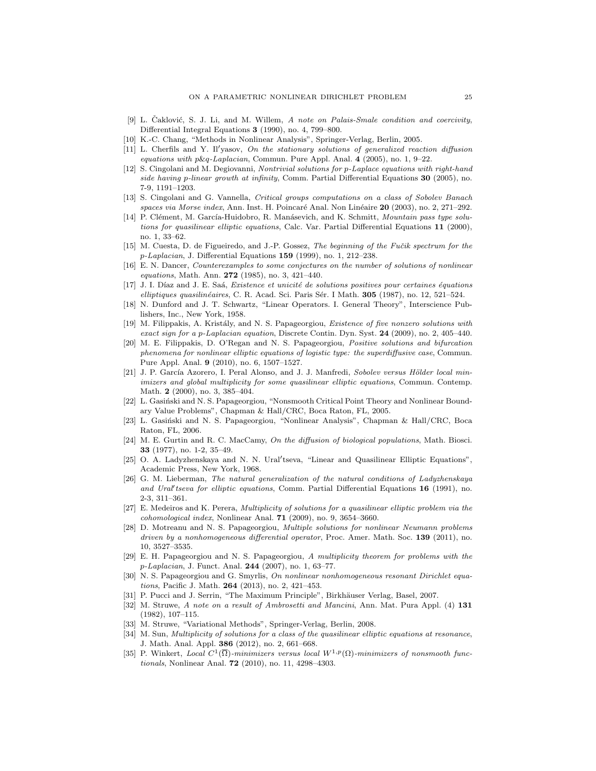- <span id="page-24-20"></span>[9] L. Čaklović, S. J. Li, and M. Willem, A note on Palais-Smale condition and coercivity, Differential Integral Equations 3 (1990), no. 4, 799–800.
- <span id="page-24-25"></span>[10] K.-C. Chang, "Methods in Nonlinear Analysis", Springer-Verlag, Berlin, 2005.
- <span id="page-24-7"></span> $[11]$  L. Cherfils and Y. Il'yasov, On the stationary solutions of generalized reaction diffusion equations with p&q-Laplacian, Commun. Pure Appl. Anal. 4 (2005), no. 1, 9–22.
- <span id="page-24-8"></span>[12] S. Cingolani and M. Degiovanni, Nontrivial solutions for p-Laplace equations with right-hand side having p-linear growth at infinity, Comm. Partial Differential Equations 30 (2005), no. 7-9, 1191–1203.
- <span id="page-24-26"></span>[13] S. Cingolani and G. Vannella, Critical groups computations on a class of Sobolev Banach spaces via Morse index, Ann. Inst. H. Poincaré Anal. Non Linéaire  $20$  (2003), no. 2, 271–292.
- <span id="page-24-12"></span>[14] P. Clément, M. García-Huidobro, R. Manásevich, and K. Schmitt, Mountain pass type solutions for quasilinear elliptic equations, Calc. Var. Partial Differential Equations 11 (2000), no. 1, 33–62.
- <span id="page-24-19"></span>[15] M. Cuesta, D. de Figueiredo, and J.-P. Gossez, The beginning of the Fučik spectrum for the  $p$ -Laplacian, J. Differential Equations 159 (1999), no. 1, 212–238.
- <span id="page-24-4"></span>[16] E. N. Dancer, Counterexamples to some conjectures on the number of solutions of nonlinear equations, Math. Ann. 272 (1985), no. 3, 421–440.
- <span id="page-24-23"></span>[17] J. I. Díaz and J. E. Saá, Existence et unicité de solutions positives pour certaines équations elliptiques quasilinéaires, C. R. Acad. Sci. Paris Sér. I Math. 305 (1987), no. 12, 521–524.
- <span id="page-24-24"></span>[18] N. Dunford and J. T. Schwartz, "Linear Operators. I. General Theory", Interscience Publishers, Inc., New York, 1958.
- <span id="page-24-22"></span>[19] M. Filippakis, A. Kristály, and N. S. Papageorgiou, *Existence of five nonzero solutions with* exact sign for a p-Laplacian equation, Discrete Contin. Dyn. Syst. 24 (2009), no. 2, 405-440.
- <span id="page-24-6"></span>[20] M. E. Filippakis, D. O'Regan and N. S. Papageorgiou, Positive solutions and bifurcation phenomena for nonlinear elliptic equations of logistic type: the superdiffusive case, Commun. Pure Appl. Anal. 9 (2010), no. 6, 1507–1527.
- <span id="page-24-14"></span>[21] J. P. García Azorero, I. Peral Alonso, and J. J. Manfredi, Sobolev versus Hölder local minimizers and global multiplicity for some quasilinear elliptic equations, Commun. Contemp. Math. 2 (2000), no. 3, 385–404.
- <span id="page-24-18"></span>[22] L. Gasiński and N. S. Papageorgiou, "Nonsmooth Critical Point Theory and Nonlinear Boundary Value Problems", Chapman & Hall/CRC, Boca Raton, FL, 2005.
- <span id="page-24-5"></span>[23] L. Gasiński and N. S. Papageorgiou, "Nonlinear Analysis", Chapman & Hall/CRC, Boca Raton, FL, 2006.
- <span id="page-24-0"></span>[24] M. E. Gurtin and R. C. MacCamy, On the diffusion of biological populations, Math. Biosci. 33 (1977), no. 1-2, 35–49.
- <span id="page-24-16"></span>[25] O. A. Ladyzhenskaya and N. N. Ural'tseva, "Linear and Quasilinear Elliptic Equations", Academic Press, New York, 1968.
- <span id="page-24-17"></span>[26] G. M. Lieberman, The natural generalization of the natural conditions of Ladyzhenskaya and Ural' tseva for elliptic equations, Comm. Partial Differential Equations 16 (1991), no. 2-3, 311–361.
- <span id="page-24-9"></span>[27] E. Medeiros and K. Perera, Multiplicity of solutions for a quasilinear elliptic problem via the cohomological index, Nonlinear Anal. 71 (2009), no. 9, 3654–3660.
- <span id="page-24-13"></span>[28] D. Motreanu and N. S. Papageorgiou, Multiple solutions for nonlinear Neumann problems driven by a nonhomogeneous differential operator, Proc. Amer. Math. Soc. 139 (2011), no. 10, 3527–3535.
- <span id="page-24-3"></span>[29] E. H. Papageorgiou and N. S. Papageorgiou, A multiplicity theorem for problems with the p-Laplacian, J. Funct. Anal. 244 (2007), no. 1, 63–77.
- <span id="page-24-10"></span>[30] N. S. Papageorgiou and G. Smyrlis, On nonlinear nonhomogeneous resonant Dirichlet equations, Pacific J. Math. 264 (2013), no. 2, 421–453.
- <span id="page-24-21"></span>[31] P. Pucci and J. Serrin, "The Maximum Principle", Birkhäuser Verlag, Basel, 2007.
- <span id="page-24-1"></span>[32] M. Struwe, A note on a result of Ambrosetti and Mancini, Ann. Mat. Pura Appl. (4) 131 (1982), 107–115.
- <span id="page-24-2"></span>[33] M. Struwe, "Variational Methods", Springer-Verlag, Berlin, 2008.
- <span id="page-24-11"></span>[34] M. Sun, Multiplicity of solutions for a class of the quasilinear elliptic equations at resonance, J. Math. Anal. Appl. 386 (2012), no. 2, 661–668.
- <span id="page-24-15"></span>[35] P. Winkert, Local  $C^1(\overline{\Omega})$ -minimizers versus local  $W^{1,p}(\Omega)$ -minimizers of nonsmooth functionals, Nonlinear Anal. 72 (2010), no. 11, 4298–4303.